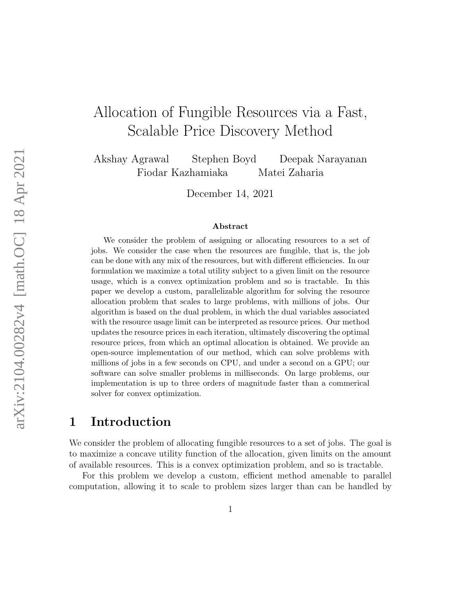# Allocation of Fungible Resources via a Fast, Scalable Price Discovery Method

Akshay Agrawal Stephen Boyd Deepak Narayanan Fiodar Kazhamiaka Matei Zaharia

December 14, 2021

#### Abstract

We consider the problem of assigning or allocating resources to a set of jobs. We consider the case when the resources are fungible, that is, the job can be done with any mix of the resources, but with different efficiencies. In our formulation we maximize a total utility subject to a given limit on the resource usage, which is a convex optimization problem and so is tractable. In this paper we develop a custom, parallelizable algorithm for solving the resource allocation problem that scales to large problems, with millions of jobs. Our algorithm is based on the dual problem, in which the dual variables associated with the resource usage limit can be interpreted as resource prices. Our method updates the resource prices in each iteration, ultimately discovering the optimal resource prices, from which an optimal allocation is obtained. We provide an open-source implementation of our method, which can solve problems with millions of jobs in a few seconds on CPU, and under a second on a GPU; our software can solve smaller problems in milliseconds. On large problems, our implementation is up to three orders of magnitude faster than a commerical solver for convex optimization.

## 1 Introduction

We consider the problem of allocating fungible resources to a set of jobs. The goal is to maximize a concave utility function of the allocation, given limits on the amount of available resources. This is a convex optimization problem, and so is tractable.

For this problem we develop a custom, efficient method amenable to parallel computation, allowing it to scale to problem sizes larger than can be handled by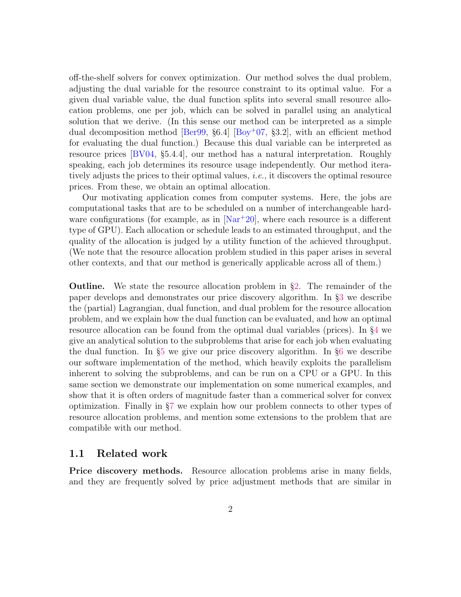off-the-shelf solvers for convex optimization. Our method solves the dual problem, adjusting the dual variable for the resource constraint to its optimal value. For a given dual variable value, the dual function splits into several small resource allocation problems, one per job, which can be solved in parallel using an analytical solution that we derive. (In this sense our method can be interpreted as a simple dual decomposition method [\[Ber99,](#page-36-0)  $\S6.4$ ] [\[Boy](#page-37-0)<sup>+</sup>07, §3.2], with an efficient method for evaluating the dual function.) Because this dual variable can be interpreted as resource prices [\[BV04,](#page-36-1) §5.4.4], our method has a natural interpretation. Roughly speaking, each job determines its resource usage independently. Our method iteratively adjusts the prices to their optimal values, i.e., it discovers the optimal resource prices. From these, we obtain an optimal allocation.

Our motivating application comes from computer systems. Here, the jobs are computational tasks that are to be scheduled on a number of interchangeable hardware configurations (for example, as in  $[Nar+20]$  $[Nar+20]$ , where each resource is a different type of GPU). Each allocation or schedule leads to an estimated throughput, and the quality of the allocation is judged by a utility function of the achieved throughput. (We note that the resource allocation problem studied in this paper arises in several other contexts, and that our method is generically applicable across all of them.)

Outline. We state the resource allocation problem in §[2.](#page-3-0) The remainder of the paper develops and demonstrates our price discovery algorithm. In §[3](#page-8-0) we describe the (partial) Lagrangian, dual function, and dual problem for the resource allocation problem, and we explain how the dual function can be evaluated, and how an optimal resource allocation can be found from the optimal dual variables (prices). In §[4](#page-12-0) we give an analytical solution to the subproblems that arise for each job when evaluating the dual function. In §[5](#page-16-0) we give our price discovery algorithm. In §[6](#page-18-0) we describe our software implementation of the method, which heavily exploits the parallelism inherent to solving the subproblems, and can be run on a CPU or a GPU. In this same section we demonstrate our implementation on some numerical examples, and show that it is often orders of magnitude faster than a commerical solver for convex optimization. Finally in §[7](#page-34-0) we explain how our problem connects to other types of resource allocation problems, and mention some extensions to the problem that are compatible with our method.

### 1.1 Related work

**Price discovery methods.** Resource allocation problems arise in many fields, and they are frequently solved by price adjustment methods that are similar in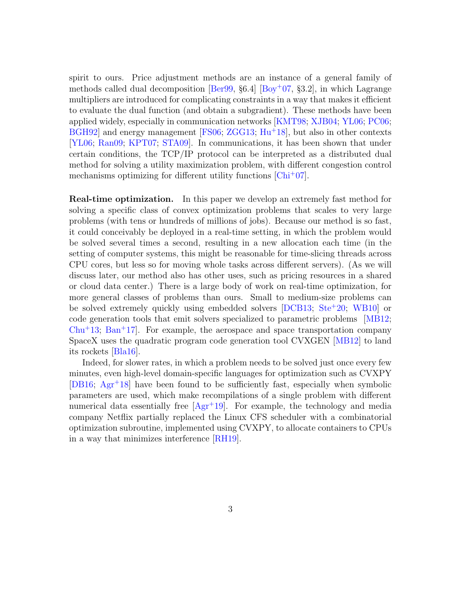spirit to ours. Price adjustment methods are an instance of a general family of methods called dual decomposition  $\left[Ber99, §6.4\right]$  $\left[Ber99, §6.4\right]$  $\left[Ber99, §6.4\right]$   $\left[Boy<sup>+</sup>07, §3.2\right]$  $\left[Boy<sup>+</sup>07, §3.2\right]$  $\left[Boy<sup>+</sup>07, §3.2\right]$ , in which Lagrange multipliers are introduced for complicating constraints in a way that makes it efficient to evaluate the dual function (and obtain a subgradient). These methods have been applied widely, especially in communication networks [\[KMT98;](#page-38-0) [XJB04;](#page-40-0) [YL06;](#page-40-1) [PC06;](#page-39-1)  $BGH92$  and energy management [\[FS06;](#page-37-1) [ZGG13;](#page-40-2)  $Hu<sup>+</sup>18$  $Hu<sup>+</sup>18$ ], but also in other contexts [\[YL06;](#page-40-1) [Ran09;](#page-39-2) [KPT07;](#page-38-2) [STA09\]](#page-39-3). In communications, it has been shown that under certain conditions, the TCP/IP protocol can be interpreted as a distributed dual method for solving a utility maximization problem, with different congestion control mechanisms optimizing for different utility functions [\[Chi](#page-37-2)<sup>+</sup>07].

Real-time optimization. In this paper we develop an extremely fast method for solving a specific class of convex optimization problems that scales to very large problems (with tens or hundreds of millions of jobs). Because our method is so fast, it could conceivably be deployed in a real-time setting, in which the problem would be solved several times a second, resulting in a new allocation each time (in the setting of computer systems, this might be reasonable for time-slicing threads across CPU cores, but less so for moving whole tasks across different servers). (As we will discuss later, our method also has other uses, such as pricing resources in a shared or cloud data center.) There is a large body of work on real-time optimization, for more general classes of problems than ours. Small to medium-size problems can be solved extremely quickly using embedded solvers [\[DCB13;](#page-37-3) [Ste](#page-39-4)<sup>+</sup>20; [WB10\]](#page-40-3) or code generation tools that emit solvers specialized to parametric problems [\[MB12;](#page-38-3) [Chu](#page-37-4)<sup>+</sup>13; [Ban](#page-36-3)<sup>+</sup>17. For example, the aerospace and space transportation company SpaceX uses the quadratic program code generation tool CVXGEN [\[MB12\]](#page-38-3) to land its rockets [\[Bla16\]](#page-36-4).

Indeed, for slower rates, in which a problem needs to be solved just once every few minutes, even high-level domain-specific languages for optimization such as CVXPY [\[DB16;](#page-37-5) [Agr](#page-36-5)<sup>+</sup>18] have been found to be sufficiently fast, especially when symbolic parameters are used, which make recompilations of a single problem with different numerical data essentially free  $[Agr+19]$  $[Agr+19]$ . For example, the technology and media company Netflix partially replaced the Linux CFS scheduler with a combinatorial optimization subroutine, implemented using CVXPY, to allocate containers to CPUs in a way that minimizes interference [\[RH19\]](#page-39-5).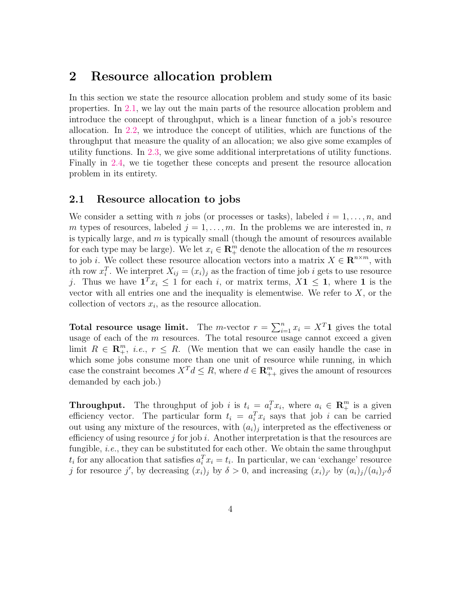## <span id="page-3-0"></span>2 Resource allocation problem

In this section we state the resource allocation problem and study some of its basic properties. In [2.1,](#page-3-1) we lay out the main parts of the resource allocation problem and introduce the concept of throughput, which is a linear function of a job's resource allocation. In [2.2,](#page-4-0) we introduce the concept of utilities, which are functions of the throughput that measure the quality of an allocation; we also give some examples of utility functions. In [2.3,](#page-5-0) we give some additional interpretations of utility functions. Finally in [2.4,](#page-7-0) we tie together these concepts and present the resource allocation problem in its entirety.

### <span id="page-3-1"></span>2.1 Resource allocation to jobs

We consider a setting with n jobs (or processes or tasks), labeled  $i = 1, \ldots, n$ , and m types of resources, labeled  $j = 1, \ldots, m$ . In the problems we are interested in, n is typically large, and  $m$  is typically small (though the amount of resources available for each type may be large). We let  $x_i \in \mathbb{R}^m_+$  denote the allocation of the m resources to job *i*. We collect these resource allocation vectors into a matrix  $X \in \mathbb{R}^{n \times m}$ , with ith row  $x_i^T$ . We interpret  $X_{ij} = (x_i)_j$  as the fraction of time job i gets to use resource j. Thus we have  $\mathbf{1}^T x_i \leq 1$  for each i, or matrix terms,  $X \mathbf{1} \leq \mathbf{1}$ , where  $\mathbf{1}$  is the vector with all entries one and the inequality is elementwise. We refer to  $X$ , or the collection of vectors  $x_i$ , as the resource allocation.

**Total resource usage limit.** The *m*-vector  $r = \sum_{i=1}^{n} x_i = X^T \mathbf{1}$  gives the total usage of each of the  $m$  resources. The total resource usage cannot exceed a given limit  $R \in \mathbb{R}_+^m$ , *i.e.*,  $r \leq R$ . (We mention that we can easily handle the case in which some jobs consume more than one unit of resource while running, in which case the constraint becomes  $X^T d \leq R$ , where  $d \in \mathbb{R}_{++}^m$  gives the amount of resources demanded by each job.)

**Throughput.** The throughput of job i is  $t_i = a_i^T x_i$ , where  $a_i \in \mathbb{R}^m_+$  is a given efficiency vector. The particular form  $t_i = a_i^T x_i$  says that job i can be carried out using any mixture of the resources, with  $(a_i)_j$  interpreted as the effectiveness or efficiency of using resource j for job i. Another interpretation is that the resources are fungible, i.e., they can be substituted for each other. We obtain the same throughput  $t_i$  for any allocation that satisfies  $a_i^T x_i = t_i$ . In particular, we can 'exchange' resource j for resource j', by decreasing  $(x_i)_j$  by  $\delta > 0$ , and increasing  $(x_i)_{j'}$  by  $(a_i)_j/(a_i)_{j'}\delta$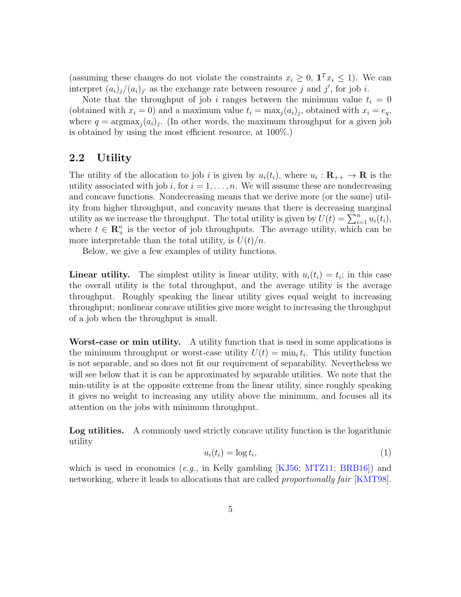(assuming these changes do not violate the constraints  $x_i \geq 0$ ,  $\mathbf{1}^T x_i \leq 1$ ). We can interpret  $(a_i)_j/(a_i)_{j'}$  as the exchange rate between resource j and j', for job i.

Note that the throughput of job i ranges between the minimum value  $t_i = 0$ (obtained with  $x_i = 0$ ) and a maximum value  $t_i = \max_j (a_i)_j$ , obtained with  $x_i = e_q$ , where  $q = \text{argmax}_j(a_i)$ . (In other words, the maximum throughput for a given job is obtained by using the most efficient resource, at 100%.)

## <span id="page-4-0"></span>2.2 Utility

The utility of the allocation to job i is given by  $u_i(t_i)$ , where  $u_i : \mathbf{R}_{++} \to \mathbf{R}$  is the utility associated with job i, for  $i = 1, \ldots, n$ . We will assume these are nondecreasing and concave functions. Nondecreasing means that we derive more (or the same) utility from higher throughput, and concavity means that there is decreasing marginal utility as we increase the throughput. The total utility is given by  $U(t) = \sum_{i=1}^{n} u_i(t_i)$ , where  $t \in \mathbb{R}_{+}^{n}$  is the vector of job throughputs. The average utility, which can be more interpretable than the total utility, is  $U(t)/n$ .

Below, we give a few examples of utility functions.

**Linear utility.** The simplest utility is linear utility, with  $u_i(t_i) = t_i$ ; in this case the overall utility is the total throughput, and the average utility is the average throughput. Roughly speaking the linear utility gives equal weight to increasing throughput; nonlinear concave utilities give more weight to increasing the throughput of a job when the throughput is small.

Worst-case or min utility. A utility function that is used in some applications is the minimum throughput or worst-case utility  $U(t) = \min_i t_i$ . This utility function is not separable, and so does not fit our requirement of separability. Nevertheless we will see below that it is can be approximated by separable utilities. We note that the min-utility is at the opposite extreme from the linear utility, since roughly speaking it gives no weight to increasing any utility above the minimum, and focuses all its attention on the jobs with minimum throughput.

Log utilities. A commonly used strictly concave utility function is the logarithmic utility

$$
u_i(t_i) = \log t_i,\tag{1}
$$

which is used in economics  $(e.g.,$  in Kelly gambling  $[KJ56; MTZ11; BRB16])$  $[KJ56; MTZ11; BRB16])$  $[KJ56; MTZ11; BRB16])$  $[KJ56; MTZ11; BRB16])$  $[KJ56; MTZ11; BRB16])$  $[KJ56; MTZ11; BRB16])$  and networking, where it leads to allocations that are called *proportionally fair* [\[KMT98\]](#page-38-0).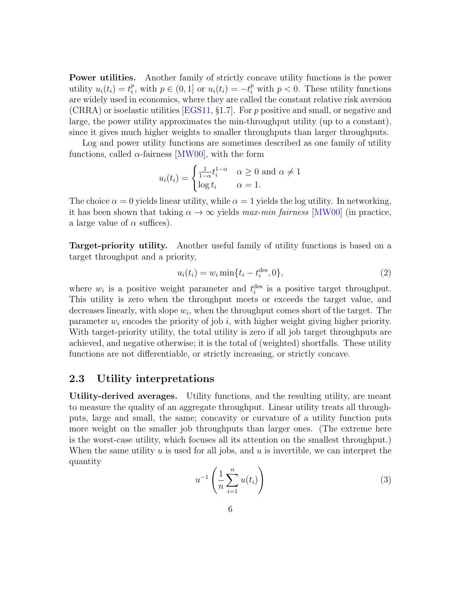**Power utilities.** Another family of strictly concave utility functions is the power utility  $u_i(t_i) = t_i^p$ <sup>p</sup><sub>i</sub>, with  $p \in (0, 1]$  or  $u_i(t_i) = -t_i^p$  with  $p < 0$ . These utility functions are widely used in economics, where they are called the constant relative risk aversion (CRRA) or isoelastic utilities [\[EGS11,](#page-37-7) §1.7]. For p positive and small, or negative and large, the power utility approximates the min-throughput utility (up to a constant), since it gives much higher weights to smaller throughputs than larger throughputs.

Log and power utility functions are sometimes described as one family of utility functions, called  $\alpha$ -fairness [\[MW00\]](#page-38-6), with the form

$$
u_i(t_i) = \begin{cases} \frac{1}{1-\alpha} t_i^{1-\alpha} & \alpha \ge 0 \text{ and } \alpha \ne 1\\ \log t_i & \alpha = 1. \end{cases}
$$

The choice  $\alpha = 0$  yields linear utility, while  $\alpha = 1$  yields the log utility. In networking, it has been shown that taking  $\alpha \to \infty$  yields max-min fairness [\[MW00\]](#page-38-6) (in practice, a large value of  $\alpha$  suffices).

Target-priority utility. Another useful family of utility functions is based on a target throughput and a priority,

<span id="page-5-2"></span>
$$
u_i(t_i) = w_i \min\{t_i - t_i^{\text{des}}, 0\},\tag{2}
$$

where  $w_i$  is a positive weight parameter and  $t_i^{\text{des}}$  is a positive target throughput. This utility is zero when the throughput meets or exceeds the target value, and decreases linearly, with slope  $w_i$ , when the throughput comes short of the target. The parameter  $w_i$  encodes the priority of job i, with higher weight giving higher priority. With target-priority utility, the total utility is zero if all job target throughputs are achieved, and negative otherwise; it is the total of (weighted) shortfalls. These utility functions are not differentiable, or strictly increasing, or strictly concave.

### <span id="page-5-0"></span>2.3 Utility interpretations

<span id="page-5-1"></span>Utility-derived averages. Utility functions, and the resulting utility, are meant to measure the quality of an aggregate throughput. Linear utility treats all throughputs, large and small, the same; concavity or curvature of a utility function puts more weight on the smaller job throughputs than larger ones. (The extreme here is the worst-case utility, which focuses all its attention on the smallest throughput.) When the same utility  $u$  is used for all jobs, and  $u$  is invertible, we can interpret the quantity

$$
u^{-1}\left(\frac{1}{n}\sum_{i=1}^{n}u(t_i)\right) \tag{3}
$$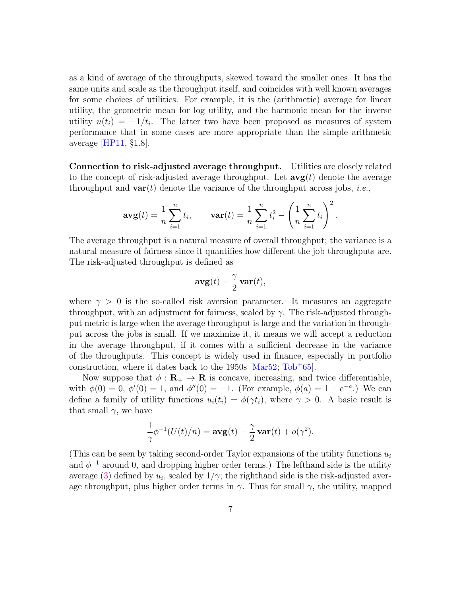as a kind of average of the throughputs, skewed toward the smaller ones. It has the same units and scale as the throughput itself, and coincides with well known averages for some choices of utilities. For example, it is the (arithmetic) average for linear utility, the geometric mean for log utility, and the harmonic mean for the inverse utility  $u(t_i) = -1/t_i$ . The latter two have been proposed as measures of system performance that in some cases are more appropriate than the simple arithmetic average  $|HP11, §1.8|$ .

Connection to risk-adjusted average throughput. Utilities are closely related to the concept of risk-adjusted average throughput. Let  $\arg(t)$  denote the average throughput and  $var(t)$  denote the variance of the throughput across jobs, *i.e.*,

$$
\mathbf{avg}(t) = \frac{1}{n} \sum_{i=1}^{n} t_i, \qquad \mathbf{var}(t) = \frac{1}{n} \sum_{i=1}^{n} t_i^2 - \left(\frac{1}{n} \sum_{i=1}^{n} t_i\right)^2.
$$

The average throughput is a natural measure of overall throughput; the variance is a natural measure of fairness since it quantifies how different the job throughputs are. The risk-adjusted throughput is defined as

$$
\mathbf{avg}(t) - \frac{\gamma}{2}\mathbf{var}(t),
$$

where  $\gamma > 0$  is the so-called risk aversion parameter. It measures an aggregate throughput, with an adjustment for fairness, scaled by  $\gamma$ . The risk-adjusted throughput metric is large when the average throughput is large and the variation in throughput across the jobs is small. If we maximize it, it means we will accept a reduction in the average throughput, if it comes with a sufficient decrease in the variance of the throughputs. This concept is widely used in finance, especially in portfolio construction, where it dates back to the  $1950s$  [\[Mar52;](#page-38-8) [Tob](#page-40-4)<sup>+</sup>65].

Now suppose that  $\phi : \mathbf{R}_{+} \to \mathbf{R}$  is concave, increasing, and twice differentiable, with  $\phi(0) = 0$ ,  $\phi'(0) = 1$ , and  $\phi''(0) = -1$ . (For example,  $\phi(a) = 1 - e^{-a}$ .) We can define a family of utility functions  $u_i(t_i) = \phi(\gamma t_i)$ , where  $\gamma > 0$ . A basic result is that small  $\gamma$ , we have

$$
\frac{1}{\gamma}\phi^{-1}(U(t)/n) = \mathbf{avg}(t) - \frac{\gamma}{2}\mathbf{var}(t) + o(\gamma^2).
$$

(This can be seen by taking second-order Taylor expansions of the utility functions  $u_i$ and  $\phi^{-1}$  around 0, and dropping higher order terms.) The lefthand side is the utility average [\(3\)](#page-5-1) defined by  $u_i$ , scaled by  $1/\gamma$ ; the righthand side is the risk-adjusted average throughput, plus higher order terms in  $\gamma$ . Thus for small  $\gamma$ , the utility, mapped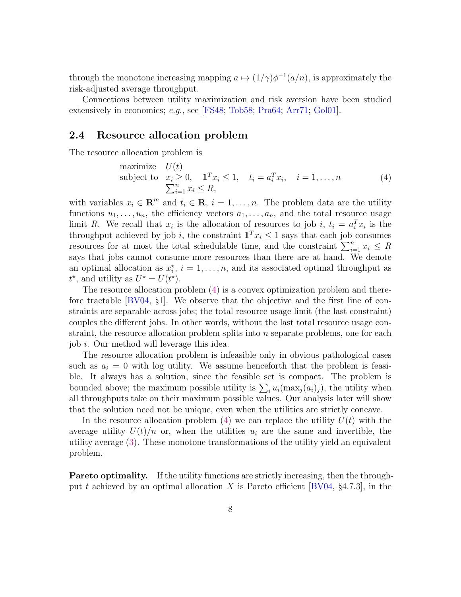through the monotone increasing mapping  $a \mapsto (1/\gamma)\phi^{-1}(a/n)$ , is approximately the risk-adjusted average throughput.

Connections between utility maximization and risk aversion have been studied extensively in economics; e.g., see [\[FS48;](#page-37-8) [Tob58;](#page-40-5) [Pra64;](#page-39-6) [Arr71;](#page-36-7) [Gol01\]](#page-38-9).

### <span id="page-7-0"></span>2.4 Resource allocation problem

The resource allocation problem is

<span id="page-7-1"></span>maximize 
$$
U(t)
$$
  
\nsubject to  $x_i \ge 0$ ,  $\mathbf{1}^T x_i \le 1$ ,  $t_i = a_i^T x_i$ ,  $i = 1, ..., n$   
\n
$$
\sum_{i=1}^n x_i \le R,
$$
\n(4)

with variables  $x_i \in \mathbb{R}^m$  and  $t_i \in \mathbb{R}$ ,  $i = 1, \ldots, n$ . The problem data are the utility functions  $u_1, \ldots, u_n$ , the efficiency vectors  $a_1, \ldots, a_n$ , and the total resource usage limit R. We recall that  $x_i$  is the allocation of resources to job i,  $t_i = a_i^T x_i$  is the throughput achieved by job i, the constraint  $\mathbf{1}^T x_i \leq 1$  says that each job consumes resources for at most the total schedulable time, and the constraint  $\sum_{i=1}^{n} x_i \leq R$ says that jobs cannot consume more resources than there are at hand. We denote an optimal allocation as  $x_i^*$ ,  $i = 1, \ldots, n$ , and its associated optimal throughput as  $t^*$ , and utility as  $U^* = U(t^*)$ .

The resource allocation problem [\(4\)](#page-7-1) is a convex optimization problem and therefore tractable [\[BV04,](#page-36-1) §1]. We observe that the objective and the first line of constraints are separable across jobs; the total resource usage limit (the last constraint) couples the different jobs. In other words, without the last total resource usage constraint, the resource allocation problem splits into n separate problems, one for each job i. Our method will leverage this idea.

The resource allocation problem is infeasible only in obvious pathological cases such as  $a_i = 0$  with log utility. We assume henceforth that the problem is feasible. It always has a solution, since the feasible set is compact. The problem is bounded above; the maximum possible utility is  $\sum_i u_i(\max_j (a_i)_j)$ , the utility when all throughputs take on their maximum possible values. Our analysis later will show that the solution need not be unique, even when the utilities are strictly concave.

In the resource allocation problem  $(4)$  we can replace the utility  $U(t)$  with the average utility  $U(t)/n$  or, when the utilities  $u_i$  are the same and invertible, the utility average [\(3\)](#page-5-1). These monotone transformations of the utility yield an equivalent problem.

Pareto optimality. If the utility functions are strictly increasing, then the through-put t achieved by an optimal allocation X is Pareto efficient [\[BV04,](#page-36-1) §4.7.3], in the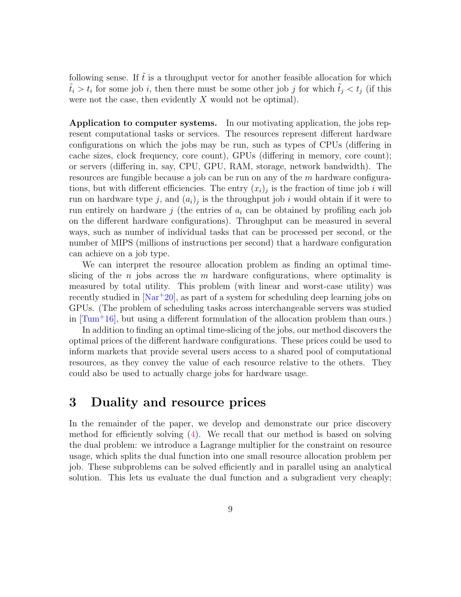following sense. If  $\hat{t}$  is a throughput vector for another feasible allocation for which  $\tilde{t}_i > t_i$  for some job i, then there must be some other job j for which  $\tilde{t}_j < t_j$  (if this were not the case, then evidently  $X$  would not be optimal).

Application to computer systems. In our motivating application, the jobs represent computational tasks or services. The resources represent different hardware configurations on which the jobs may be run, such as types of CPUs (differing in cache sizes, clock frequency, core count), GPUs (differing in memory, core count); or servers (differing in, say, CPU, GPU, RAM, storage, network bandwidth). The resources are fungible because a job can be run on any of the  $m$  hardware configurations, but with different efficiencies. The entry  $(x_i)_j$  is the fraction of time job i will run on hardware type j, and  $(a_i)_j$  is the throughput job i would obtain if it were to run entirely on hardware  $j$  (the entries of  $a_i$  can be obtained by profiling each job on the different hardware configurations). Throughput can be measured in several ways, such as number of individual tasks that can be processed per second, or the number of MIPS (millions of instructions per second) that a hardware configuration can achieve on a job type.

We can interpret the resource allocation problem as finding an optimal timeslicing of the n jobs across the m hardware configurations, where optimality is measured by total utility. This problem (with linear and worst-case utility) was recently studied in  $[Nar+20]$  $[Nar+20]$ , as part of a system for scheduling deep learning jobs on GPUs. (The problem of scheduling tasks across interchangeable servers was studied in  $[\text{Turn}^+16]$ , but using a different formulation of the allocation problem than ours.)

In addition to finding an optimal time-slicing of the jobs, our method discovers the optimal prices of the different hardware configurations. These prices could be used to inform markets that provide several users access to a shared pool of computational resources, as they convey the value of each resource relative to the others. They could also be used to actually charge jobs for hardware usage.

## <span id="page-8-0"></span>3 Duality and resource prices

In the remainder of the paper, we develop and demonstrate our price discovery method for efficiently solving [\(4\)](#page-7-1). We recall that our method is based on solving the dual problem: we introduce a Lagrange multiplier for the constraint on resource usage, which splits the dual function into one small resource allocation problem per job. These subproblems can be solved efficiently and in parallel using an analytical solution. This lets us evaluate the dual function and a subgradient very cheaply;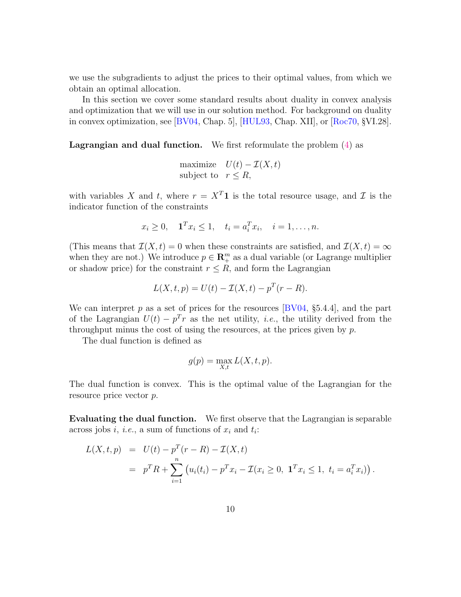we use the subgradients to adjust the prices to their optimal values, from which we obtain an optimal allocation.

In this section we cover some standard results about duality in convex analysis and optimization that we will use in our solution method. For background on duality in convex optimization, see [\[BV04,](#page-36-1) Chap. 5], [\[HUL93,](#page-38-10) Chap. XII], or [\[Roc70,](#page-39-7) §VI.28].

**Lagrangian and dual function.** We first reformulate the problem  $(4)$  as

maximize  $U(t) - \mathcal{I}(X, t)$ subject to  $r < R$ ,

with variables X and t, where  $r = X<sup>T</sup>1$  is the total resource usage, and Z is the indicator function of the constraints

$$
x_i \ge 0
$$
,  $\mathbf{1}^T x_i \le 1$ ,  $t_i = a_i^T x_i$ ,  $i = 1, ..., n$ .

(This means that  $\mathcal{I}(X,t) = 0$  when these constraints are satisfied, and  $\mathcal{I}(X,t) = \infty$ when they are not.) We introduce  $p \in \mathbb{R}^m_+$  as a dual variable (or Lagrange multiplier or shadow price) for the constraint  $r \leq R$ , and form the Lagrangian

$$
L(X, t, p) = U(t) - \mathcal{I}(X, t) - p^{T}(r - R).
$$

We can interpret  $p$  as a set of prices for the resources [\[BV04,](#page-36-1) §5.4.4], and the part of the Lagrangian  $U(t) - p<sup>T</sup>r$  as the net utility, *i.e.*, the utility derived from the throughput minus the cost of using the resources, at the prices given by  $p$ .

The dual function is defined as

$$
g(p) = \max_{X,t} L(X,t,p).
$$

The dual function is convex. This is the optimal value of the Lagrangian for the resource price vector p.

Evaluating the dual function. We first observe that the Lagrangian is separable across jobs *i*, *i.e.*, a sum of functions of  $x_i$  and  $t_i$ :

$$
L(X, t, p) = U(t) - p^{T}(r - R) - \mathcal{I}(X, t)
$$
  
=  $p^{T}R + \sum_{i=1}^{n} (u_{i}(t_{i}) - p^{T}x_{i} - \mathcal{I}(x_{i} \ge 0, \mathbf{1}^{T}x_{i} \le 1, t_{i} = a_{i}^{T}x_{i})).$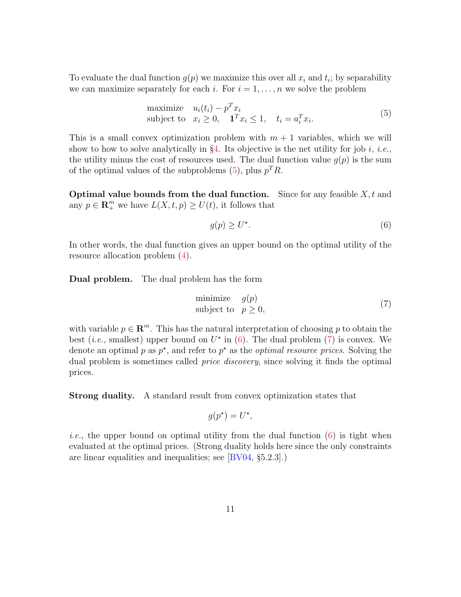To evaluate the dual function  $g(p)$  we maximize this over all  $x_i$  and  $t_i$ ; by separability we can maximize separately for each i. For  $i = 1, \ldots, n$  we solve the problem

maximize 
$$
u_i(t_i) - p^T x_i
$$
  
subject to  $x_i \ge 0$ ,  $\mathbf{1}^T x_i \le 1$ ,  $t_i = a_i^T x_i$ . (5)

This is a small convex optimization problem with  $m + 1$  variables, which we will show to how to solve analytically in  $\S4$ . Its objective is the net utility for job i, i.e., the utility minus the cost of resources used. The dual function value  $g(p)$  is the sum of the optimal values of the subproblems [\(5\)](#page-10-0), plus  $p^T R$ .

**Optimal value bounds from the dual function.** Since for any feasible  $X, t$  and any  $p \in \mathbb{R}^m_+$  we have  $L(X, t, p) \ge U(t)$ , it follows that

<span id="page-10-2"></span><span id="page-10-1"></span><span id="page-10-0"></span>
$$
g(p) \ge U^\star. \tag{6}
$$

In other words, the dual function gives an upper bound on the optimal utility of the resource allocation problem [\(4\)](#page-7-1).

Dual problem. The dual problem has the form

$$
\begin{array}{ll}\text{minimize} & g(p) \\ \text{subject to} & p \ge 0, \end{array} \tag{7}
$$

with variable  $p \in \mathbb{R}^m$ . This has the natural interpretation of choosing p to obtain the best (*i.e.*, smallest) upper bound on  $U^*$  in [\(6\)](#page-10-1). The dual problem [\(7\)](#page-10-2) is convex. We denote an optimal p as  $p^*$ , and refer to  $p^*$  as the *optimal resource prices*. Solving the dual problem is sometimes called price discovery, since solving it finds the optimal prices.

Strong duality. A standard result from convex optimization states that

$$
g(p^*) = U^*,
$$

*i.e.*, the upper bound on optimal utility from the dual function  $(6)$  is tight when evaluated at the optimal prices. (Strong duality holds here since the only constraints are linear equalities and inequalities; see [\[BV04,](#page-36-1) §5.2.3].)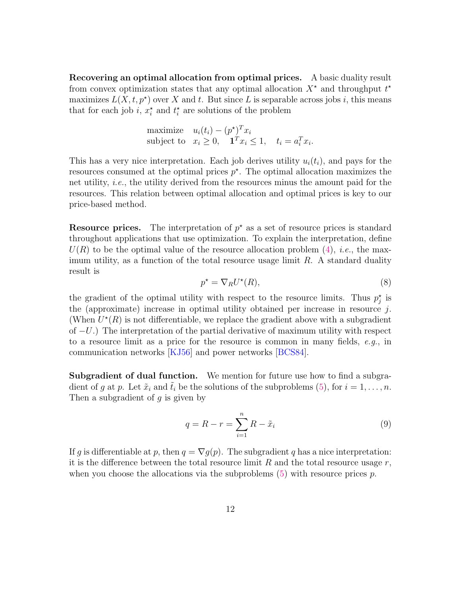Recovering an optimal allocation from optimal prices. A basic duality result from convex optimization states that any optimal allocation  $X^*$  and throughput  $t^*$ maximizes  $L(X, t, p^*)$  over X and t. But since L is separable across jobs i, this means that for each job *i*,  $x_i^*$  and  $t_i^*$  are solutions of the problem

maximize 
$$
u_i(t_i) - (p^*)^T x_i
$$
  
subject to  $x_i \ge 0$ ,  $\mathbf{1}^T x_i \le 1$ ,  $t_i = a_i^T x_i$ .

This has a very nice interpretation. Each job derives utility  $u_i(t_i)$ , and pays for the resources consumed at the optimal prices  $p^*$ . The optimal allocation maximizes the net utility, i.e., the utility derived from the resources minus the amount paid for the resources. This relation between optimal allocation and optimal prices is key to our price-based method.

**Resource prices.** The interpretation of  $p^*$  as a set of resource prices is standard throughout applications that use optimization. To explain the interpretation, define  $U(R)$  to be the optimal value of the resource allocation problem [\(4\)](#page-7-1), *i.e.*, the maximum utility, as a function of the total resource usage limit  $R$ . A standard duality result is

$$
p^* = \nabla_R U^*(R),\tag{8}
$$

the gradient of the optimal utility with respect to the resource limits. Thus  $p_j^*$  is the (approximate) increase in optimal utility obtained per increase in resource  $j$ . (When  $U^*(R)$  is not differentiable, we replace the gradient above with a subgradient of  $-U$ .) The interpretation of the partial derivative of maximum utility with respect to a resource limit as a price for the resource is common in many fields, e.g., in communication networks [\[KJ56\]](#page-38-4) and power networks [\[BCS84\]](#page-36-8).

**Subgradient of dual function.** We mention for future use how to find a subgradient of g at p. Let  $\tilde{x}_i$  and  $\tilde{t}_i$  be the solutions of the subproblems [\(5\)](#page-10-0), for  $i = 1, \ldots, n$ . Then a subgradient of  $g$  is given by

$$
q = R - r = \sum_{i=1}^{n} R - \tilde{x}_i
$$
\n<sup>(9)</sup>

If g is differentiable at p, then  $q = \nabla q(p)$ . The subgradient g has a nice interpretation: it is the difference between the total resource limit  $R$  and the total resource usage  $r$ , when you choose the allocations via the subproblems  $(5)$  with resource prices p.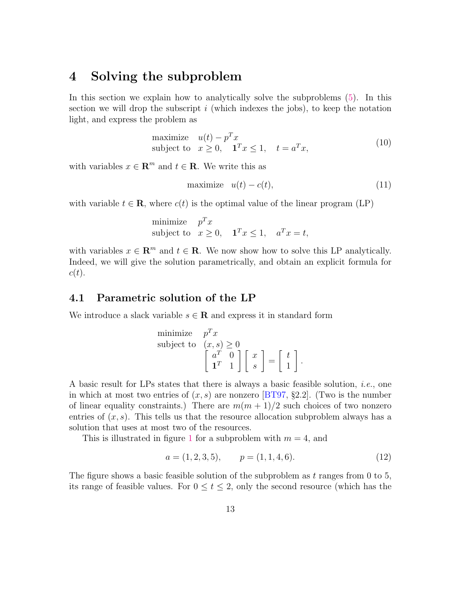## <span id="page-12-0"></span>4 Solving the subproblem

In this section we explain how to analytically solve the subproblems [\(5\)](#page-10-0). In this section we will drop the subscript  $i$  (which indexes the jobs), to keep the notation light, and express the problem as

<span id="page-12-3"></span>maximize 
$$
u(t) - p^T x
$$
  
subject to  $x \ge 0$ ,  $\mathbf{1}^T x \le 1$ ,  $t = a^T x$ , (10)

with variables  $x \in \mathbb{R}^m$  and  $t \in \mathbb{R}$ . We write this as

<span id="page-12-2"></span>
$$
\text{maximize} \quad u(t) - c(t),\tag{11}
$$

with variable  $t \in \mathbf{R}$ , where  $c(t)$  is the optimal value of the linear program (LP)

minimize 
$$
p^T x
$$
  
subject to  $x \ge 0$ ,  $\mathbf{1}^T x \le 1$ ,  $a^T x = t$ ,

with variables  $x \in \mathbb{R}^m$  and  $t \in \mathbb{R}$ . We now show how to solve this LP analytically. Indeed, we will give the solution parametrically, and obtain an explicit formula for  $c(t).$ 

### 4.1 Parametric solution of the LP

We introduce a slack variable  $s \in \mathbf{R}$  and express it in standard form

minimize 
$$
p^T x
$$
  
subject to  $(x, s) \ge 0$   

$$
\begin{bmatrix} a^T & 0 \\ \mathbf{1}^T & 1 \end{bmatrix} \begin{bmatrix} x \\ s \end{bmatrix} = \begin{bmatrix} t \\ 1 \end{bmatrix}.
$$

A basic result for LPs states that there is always a basic feasible solution, *i.e.*, one in which at most two entries of  $(x, s)$  are nonzero [\[BT97,](#page-36-9) §2.2]. (Two is the number of linear equality constraints.) There are  $m(m + 1)/2$  such choices of two nonzero entries of  $(x, s)$ . This tells us that the resource allocation subproblem always has a solution that uses at most two of the resources.

This is illustrated in figure [1](#page-13-0) for a subproblem with  $m = 4$ , and

<span id="page-12-1"></span>
$$
a = (1, 2, 3, 5), \qquad p = (1, 1, 4, 6). \tag{12}
$$

The figure shows a basic feasible solution of the subproblem as  $t$  ranges from 0 to 5, its range of feasible values. For  $0 \le t \le 2$ , only the second resource (which has the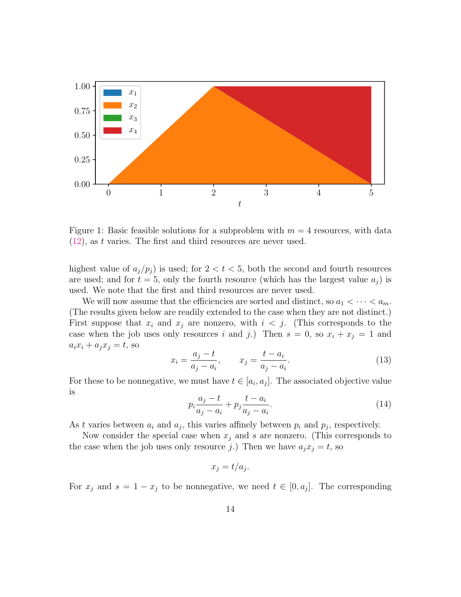<span id="page-13-0"></span>

Figure 1: Basic feasible solutions for a subproblem with  $m = 4$  resources, with data  $(12)$ , as t varies. The first and third resources are never used.

highest value of  $a_j/p_j$  is used; for  $2 < t < 5$ , both the second and fourth resources are used; and for  $t = 5$ , only the fourth resource (which has the largest value  $a_i$ ) is used. We note that the first and third resources are never used.

We will now assume that the efficiencies are sorted and distinct, so  $a_1 < \cdots < a_m$ . (The results given below are readily extended to the case when they are not distinct.) First suppose that  $x_i$  and  $x_j$  are nonzero, with  $i < j$ . (This corresponds to the case when the job uses only resources i and j.) Then  $s = 0$ , so  $x_i + x_j = 1$  and  $a_i x_i + a_j x_j = t$ , so

<span id="page-13-1"></span>
$$
x_i = \frac{a_j - t}{a_j - a_i}, \qquad x_j = \frac{t - a_i}{a_j - a_i}.
$$
 (13)

<span id="page-13-2"></span>For these to be nonnegative, we must have  $t \in [a_i, a_j]$ . The associated objective value is

$$
p_i \frac{a_j - t}{a_j - a_i} + p_j \frac{t - a_i}{a_j - a_i}.
$$
\n(14)

As t varies between  $a_i$  and  $a_j$ , this varies affinely between  $p_i$  and  $p_j$ , respectively.

Now consider the special case when  $x_i$  and s are nonzero. (This corresponds to the case when the job uses only resource j.) Then we have  $a_i x_i = t$ , so

$$
x_j = t/a_j
$$

.

For  $x_j$  and  $s = 1 - x_j$  to be nonnegative, we need  $t \in [0, a_j]$ . The corresponding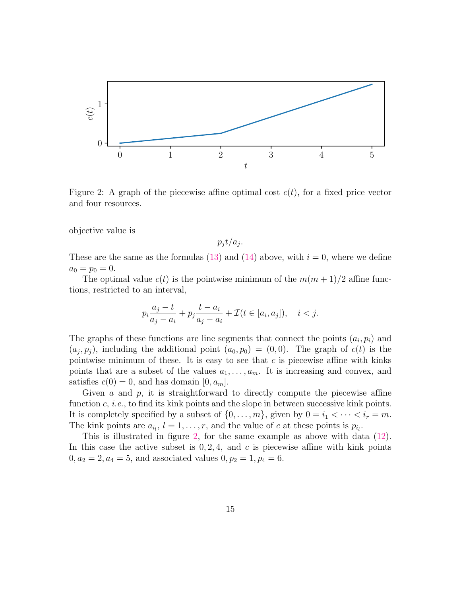<span id="page-14-0"></span>

Figure 2: A graph of the piecewise affine optimal cost  $c(t)$ , for a fixed price vector and four resources.

objective value is

 $p_j t/a_j$ .

These are the same as the formulas [\(13\)](#page-13-1) and [\(14\)](#page-13-2) above, with  $i = 0$ , where we define  $a_0 = p_0 = 0.$ 

The optimal value  $c(t)$  is the pointwise minimum of the  $m(m+1)/2$  affine functions, restricted to an interval,

$$
p_i \frac{a_j - t}{a_j - a_i} + p_j \frac{t - a_i}{a_j - a_i} + \mathcal{I}(t \in [a_i, a_j]), \quad i < j.
$$

The graphs of these functions are line segments that connect the points  $(a_i, p_i)$  and  $(a_j, p_j)$ , including the additional point  $(a_0, p_0) = (0, 0)$ . The graph of  $c(t)$  is the pointwise minimum of these. It is easy to see that  $c$  is piecewise affine with kinks points that are a subset of the values  $a_1, \ldots, a_m$ . It is increasing and convex, and satisfies  $c(0) = 0$ , and has domain  $[0, a_m]$ .

Given a and  $p$ , it is straightforward to directly compute the piecewise affine function  $c, i.e.,$  to find its kink points and the slope in between successive kink points. It is completely specified by a subset of  $\{0, \ldots, m\}$ , given by  $0 = i_1 < \cdots < i_r = m$ . The kink points are  $a_{i_l}$ ,  $l = 1, \ldots, r$ , and the value of c at these points is  $p_{i_l}$ .

This is illustrated in figure [2,](#page-14-0) for the same example as above with data [\(12\)](#page-12-1). In this case the active subset is  $0, 2, 4$ , and c is piecewise affine with kink points  $0, a_2 = 2, a_4 = 5$ , and associated values  $0, p_2 = 1, p_4 = 6$ .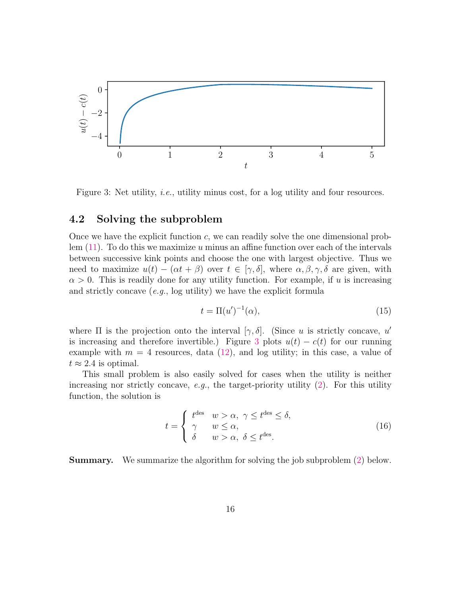<span id="page-15-0"></span>

Figure 3: Net utility, *i.e.*, utility minus cost, for a log utility and four resources.

## 4.2 Solving the subproblem

Once we have the explicit function  $c$ , we can readily solve the one dimensional problem  $(11)$ . To do this we maximize u minus an affine function over each of the intervals between successive kink points and choose the one with largest objective. Thus we need to maximize  $u(t) - (\alpha t + \beta)$  over  $t \in [\gamma, \delta]$ , where  $\alpha, \beta, \gamma, \delta$  are given, with  $\alpha > 0$ . This is readily done for any utility function. For example, if u is increasing and strictly concave (e.g., log utility) we have the explicit formula

<span id="page-15-1"></span>
$$
t = \Pi(u')^{-1}(\alpha),\tag{15}
$$

where  $\Pi$  is the projection onto the interval  $[\gamma, \delta]$ . (Since u is strictly concave, u' is increasing and therefore invertible.) Figure [3](#page-15-0) plots  $u(t) - c(t)$  for our running example with  $m = 4$  resources, data [\(12\)](#page-12-1), and log utility; in this case, a value of  $t \approx 2.4$  is optimal.

This small problem is also easily solved for cases when the utility is neither increasing nor strictly concave, e.g., the target-priority utility  $(2)$ . For this utility function, the solution is

<span id="page-15-2"></span>
$$
t = \begin{cases} t^{\text{des}} & w > \alpha, \ \gamma \le t^{\text{des}} \le \delta, \\ \gamma & w \le \alpha, \\ \delta & w > \alpha, \ \delta \le t^{\text{des}}. \end{cases}
$$
(16)

Summary. We summarize the algorithm for solving the job subproblem [\(2\)](#page-5-2) below.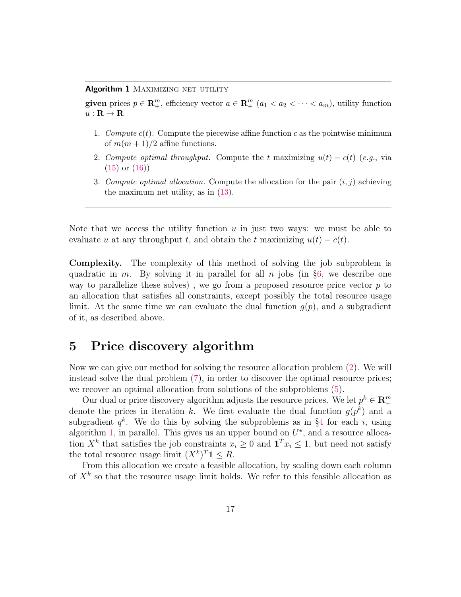#### <span id="page-16-1"></span>Algorithm 1 MAXIMIZING NET UTILITY

given prices  $p \in \mathbb{R}^m_+$ , efficiency vector  $a \in \mathbb{R}^m_+$   $(a_1 < a_2 < \cdots < a_m)$ , utility function  $u : \mathbf{R} \to \mathbf{R}$ 

- 1. Compute  $c(t)$ . Compute the piecewise affine function c as the pointwise minimum of  $m(m+1)/2$  affine functions.
- 2. Compute optimal throughput. Compute the t maximizing  $u(t) c(t)$  (e.g., via [\(15\)](#page-15-1) or [\(16\)](#page-15-2))
- 3. Compute optimal allocation. Compute the allocation for the pair  $(i, j)$  achieving the maximum net utility, as in [\(13\)](#page-13-1).

Note that we access the utility function  $u$  in just two ways: we must be able to evaluate u at any throughput t, and obtain the t maximizing  $u(t) - c(t)$ .

Complexity. The complexity of this method of solving the job subproblem is quadratic in m. By solving it in parallel for all n jobs (in  $\S6$ , we describe one way to parallelize these solves), we go from a proposed resource price vector  $p$  to an allocation that satisfies all constraints, except possibly the total resource usage limit. At the same time we can evaluate the dual function  $q(p)$ , and a subgradient of it, as described above.

## <span id="page-16-0"></span>5 Price discovery algorithm

Now we can give our method for solving the resource allocation problem [\(2\)](#page-3-0). We will instead solve the dual problem [\(7\)](#page-10-2), in order to discover the optimal resource prices; we recover an optimal allocation from solutions of the subproblems [\(5\)](#page-10-0).

Our dual or price discovery algorithm adjusts the resource prices. We let  $p^k \in \mathbb{R}^m_+$ + denote the prices in iteration k. We first evaluate the dual function  $g(p^k)$  and a subgradient  $q^k$ . We do this by solving the subproblems as in §[4](#page-12-0) for each i, using algorithm [1,](#page-16-1) in parallel. This gives us an upper bound on  $U^*$ , and a resource allocation  $X^k$  that satisfies the job constraints  $x_i \geq 0$  and  $\mathbf{1}^T x_i \leq 1$ , but need not satisfy the total resource usage limit  $(X^k)^T 1 \leq R$ .

From this allocation we create a feasible allocation, by scaling down each column of  $X<sup>k</sup>$  so that the resource usage limit holds. We refer to this feasible allocation as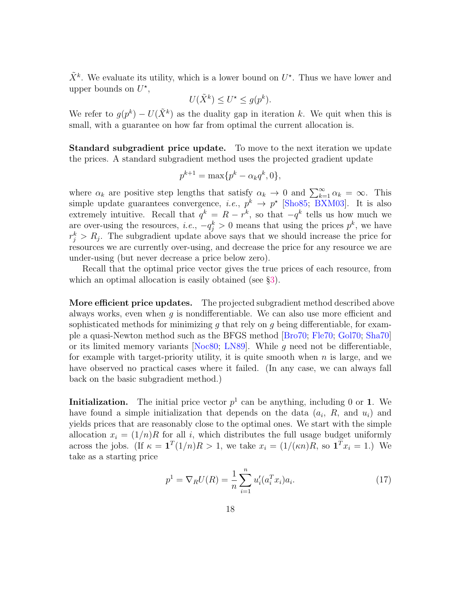$\tilde{X}^k$ . We evaluate its utility, which is a lower bound on  $U^*$ . Thus we have lower and upper bounds on  $U^*$ ,

$$
U(\tilde{X}^k) \le U^\star \le g(p^k).
$$

We refer to  $g(p^k) - U(\tilde{X}^k)$  as the duality gap in iteration k. We quit when this is small, with a guarantee on how far from optimal the current allocation is.

Standard subgradient price update. To move to the next iteration we update the prices. A standard subgradient method uses the projected gradient update

$$
p^{k+1} = \max\{p^k - \alpha_k q^k, 0\},\,
$$

where  $\alpha_k$  are positive step lengths that satisfy  $\alpha_k \to 0$  and  $\sum_{k=1}^{\infty} \alpha_k = \infty$ . This simple update guarantees convergence, *i.e.*,  $p^k \to p^*$  [\[Sho85;](#page-39-8) [BXM03\]](#page-36-10). It is also extremely intuitive. Recall that  $q^k = R - r^k$ , so that  $-q^k$  tells us how much we are over-using the resources, *i.e.*,  $-q_j^k > 0$  means that using the prices  $p^k$ , we have  $r_j^k > R_j$ . The subgradient update above says that we should increase the price for resources we are currently over-using, and decrease the price for any resource we are under-using (but never decrease a price below zero).

Recall that the optimal price vector gives the true prices of each resource, from which an optimal allocation is easily obtained (see  $\S3$ ).

More efficient price updates. The projected subgradient method described above always works, even when  $g$  is nondifferentiable. We can also use more efficient and sophisticated methods for minimizing q that rely on q being differentiable, for example a quasi-Newton method such as the BFGS method [\[Bro70;](#page-37-9) [Fle70;](#page-37-10) [Gol70;](#page-37-11) [Sha70\]](#page-39-9) or its limited memory variants [\[Noc80;](#page-39-10) [LN89\]](#page-38-11). While g need not be differentiable, for example with target-priority utility, it is quite smooth when  $n$  is large, and we have observed no practical cases where it failed. (In any case, we can always fall back on the basic subgradient method.)

**Initialization.** The initial price vector  $p^1$  can be anything, including 0 or 1. We have found a simple initialization that depends on the data  $(a_i, R, \text{ and } u_i)$  and yields prices that are reasonably close to the optimal ones. We start with the simple allocation  $x_i = (1/n)R$  for all i, which distributes the full usage budget uniformly across the jobs. (If  $\kappa = \mathbf{1}^T(1/n)R > 1$ , we take  $x_i = (1/(\kappa n)R)$ , so  $\mathbf{1}^T x_i = 1$ .) We take as a starting price

<span id="page-17-0"></span>
$$
p^{1} = \nabla_{R} U(R) = \frac{1}{n} \sum_{i=1}^{n} u'_{i}(a_{i}^{T} x_{i}) a_{i}.
$$
 (17)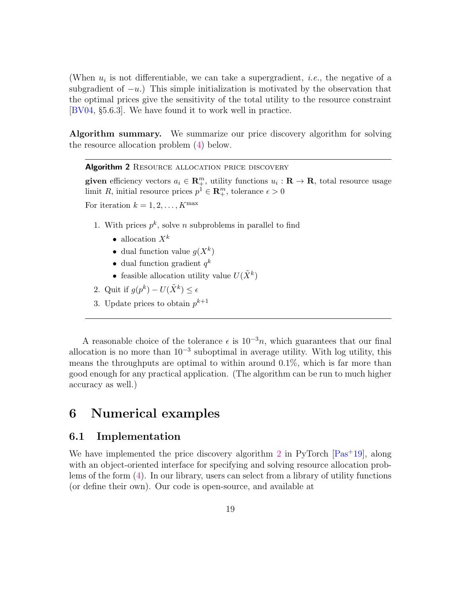(When  $u_i$  is not differentiable, we can take a supergradient, *i.e.*, the negative of a subgradient of  $-u$ .) This simple initialization is motivated by the observation that the optimal prices give the sensitivity of the total utility to the resource constraint [\[BV04,](#page-36-1) §5.6.3]. We have found it to work well in practice.

Algorithm summary. We summarize our price discovery algorithm for solving the resource allocation problem [\(4\)](#page-7-1) below.

<span id="page-18-1"></span>Algorithm 2 RESOURCE ALLOCATION PRICE DISCOVERY

given efficiency vectors  $a_i \in \mathbb{R}_{+}^m$ , utility functions  $u_i : \mathbb{R} \to \mathbb{R}$ , total resource usage limit R, initial resource prices  $p^1 \in \mathbb{R}^m_+$ , tolerance  $\epsilon > 0$ 

For iteration  $k = 1, 2, \ldots, K^{\max}$ 

- 1. With prices  $p^k$ , solve *n* subproblems in parallel to find
	- allocation  $X^k$
	- dual function value  $g(X^k)$
	- dual function gradient  $q^k$
	- feasible allocation utility value  $U(\tilde{X}^k)$
- 2. Quit if  $g(p^k) U(\tilde{X}^k) \leq \epsilon$
- 3. Update prices to obtain  $p^{k+1}$

A reasonable choice of the tolerance  $\epsilon$  is 10<sup>-3</sup>n, which guarantees that our final allocation is no more than  $10^{-3}$  suboptimal in average utility. With log utility, this means the throughputs are optimal to within around 0.1%, which is far more than good enough for any practical application. (The algorithm can be run to much higher accuracy as well.)

## <span id="page-18-0"></span>6 Numerical examples

### 6.1 Implementation

We have implemented the price discovery algorithm [2](#page-18-1) in PyTorch  $\left[\text{Pas}^{\text{+}}19\right]$ , along with an object-oriented interface for specifying and solving resource allocation problems of the form [\(4\)](#page-7-1). In our library, users can select from a library of utility functions (or define their own). Our code is open-source, and available at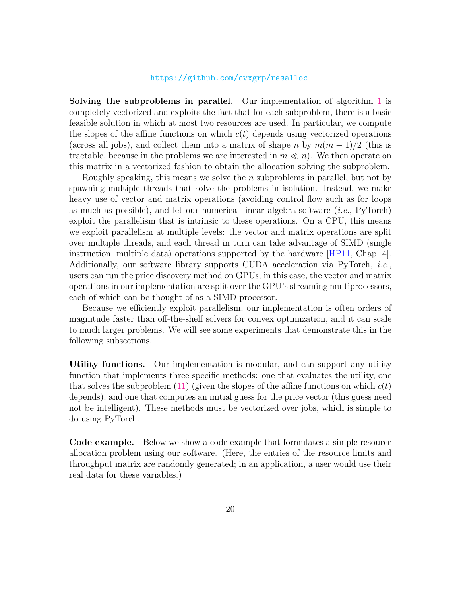#### <https://github.com/cvxgrp/resalloc>.

Solving the subproblems in parallel. Our implementation of algorithm [1](#page-16-1) is completely vectorized and exploits the fact that for each subproblem, there is a basic feasible solution in which at most two resources are used. In particular, we compute the slopes of the affine functions on which  $c(t)$  depends using vectorized operations (across all jobs), and collect them into a matrix of shape n by  $m(m-1)/2$  (this is tractable, because in the problems we are interested in  $m \ll n$ ). We then operate on this matrix in a vectorized fashion to obtain the allocation solving the subproblem.

Roughly speaking, this means we solve the  $n$  subproblems in parallel, but not by spawning multiple threads that solve the problems in isolation. Instead, we make heavy use of vector and matrix operations (avoiding control flow such as for loops as much as possible), and let our numerical linear algebra software  $(i.e., PyTorch)$ exploit the parallelism that is intrinsic to these operations. On a CPU, this means we exploit parallelism at multiple levels: the vector and matrix operations are split over multiple threads, and each thread in turn can take advantage of SIMD (single instruction, multiple data) operations supported by the hardware [\[HP11,](#page-38-7) Chap. 4]. Additionally, our software library supports CUDA acceleration via PyTorch, i.e., users can run the price discovery method on GPUs; in this case, the vector and matrix operations in our implementation are split over the GPU's streaming multiprocessors, each of which can be thought of as a SIMD processor.

Because we efficiently exploit parallelism, our implementation is often orders of magnitude faster than off-the-shelf solvers for convex optimization, and it can scale to much larger problems. We will see some experiments that demonstrate this in the following subsections.

Utility functions. Our implementation is modular, and can support any utility function that implements three specific methods: one that evaluates the utility, one that solves the subproblem [\(11\)](#page-12-2) (given the slopes of the affine functions on which  $c(t)$ ) depends), and one that computes an initial guess for the price vector (this guess need not be intelligent). These methods must be vectorized over jobs, which is simple to do using PyTorch.

Code example. Below we show a code example that formulates a simple resource allocation problem using our software. (Here, the entries of the resource limits and throughput matrix are randomly generated; in an application, a user would use their real data for these variables.)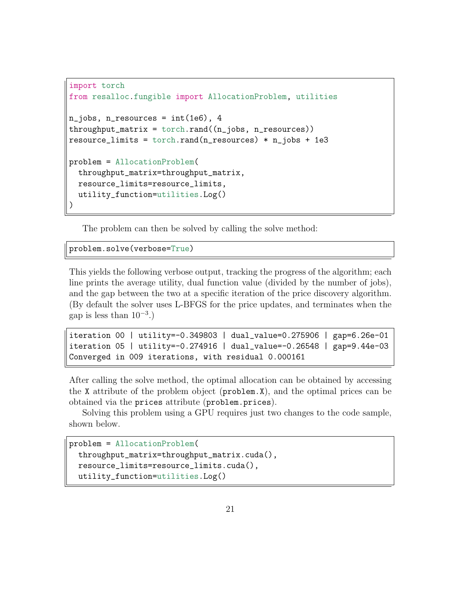```
import torch
from resalloc.fungible import AllocationProblem, utilities
n_jobs, n_resources = int(1e6), 4
throughput_matrix = <code>torch.random()</code> (n jobs, n-resources)resource_limits = torch.random(</math>n_resources) * n_jobs + 1e3problem = AllocationProblem(
  throughput_matrix=throughput_matrix,
  resource_limits=resource_limits,
  utility_function=utilities.Log()
)
```
The problem can then be solved by calling the solve method:

problem.solve(verbose=True)

This yields the following verbose output, tracking the progress of the algorithm; each line prints the average utility, dual function value (divided by the number of jobs), and the gap between the two at a specific iteration of the price discovery algorithm. (By default the solver uses L-BFGS for the price updates, and terminates when the gap is less than  $10^{-3}$ .)

```
iteration 00 | utility=-0.349803 | dual_value=0.275906 | gap=6.26e-01
iteration 05 | utility=-0.274916 | dual_value=-0.26548 | gap=9.44e-03
Converged in 009 iterations, with residual 0.000161
```
After calling the solve method, the optimal allocation can be obtained by accessing the X attribute of the problem object (problem.X), and the optimal prices can be obtained via the prices attribute (problem.prices).

Solving this problem using a GPU requires just two changes to the code sample, shown below.

```
problem = AllocationProblem(
 throughput_matrix=throughput_matrix.cuda(),
 resource_limits=resource_limits.cuda(),
 utility_function=utilities.Log()
```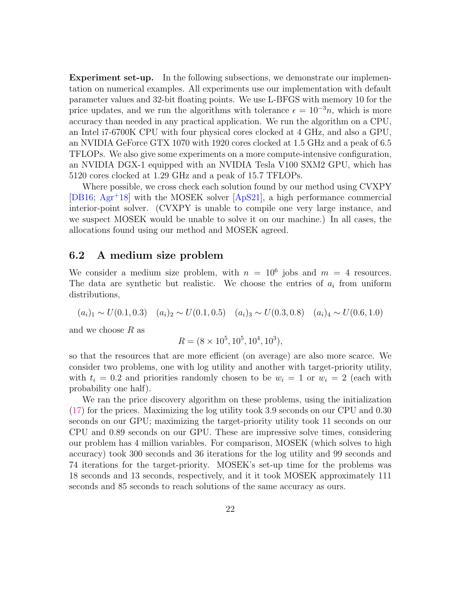Experiment set-up. In the following subsections, we demonstrate our implementation on numerical examples. All experiments use our implementation with default parameter values and 32-bit floating points. We use L-BFGS with memory 10 for the price updates, and we run the algorithms with tolerance  $\epsilon = 10^{-3}n$ , which is more accuracy than needed in any practical application. We run the algorithm on a CPU, an Intel i7-6700K CPU with four physical cores clocked at 4 GHz, and also a GPU, an NVIDIA GeForce GTX 1070 with 1920 cores clocked at 1.5 GHz and a peak of 6.5 TFLOPs. We also give some experiments on a more compute-intensive configuration, an NVIDIA DGX-1 equipped with an NVIDIA Tesla V100 SXM2 GPU, which has 5120 cores clocked at 1.29 GHz and a peak of 15.7 TFLOPs.

Where possible, we cross check each solution found by our method using CVXPY [\[DB16;](#page-37-5) [Agr](#page-36-5)<sup>+</sup>18] with the MOSEK solver [\[ApS21\]](#page-36-11), a high performance commercial interior-point solver. (CVXPY is unable to compile one very large instance, and we suspect MOSEK would be unable to solve it on our machine.) In all cases, the allocations found using our method and MOSEK agreed.

### 6.2 A medium size problem

We consider a medium size problem, with  $n = 10^6$  jobs and  $m = 4$  resources. The data are synthetic but realistic. We choose the entries of  $a_i$  from uniform distributions,

$$
(a_i)_1 \sim U(0.1, 0.3) \quad (a_i)_2 \sim U(0.1, 0.5) \quad (a_i)_3 \sim U(0.3, 0.8) \quad (a_i)_4 \sim U(0.6, 1.0)
$$

and we choose  $R$  as

$$
R = (8 \times 10^5, 10^5, 10^4, 10^3),
$$

so that the resources that are more efficient (on average) are also more scarce. We consider two problems, one with log utility and another with target-priority utility, with  $t_i = 0.2$  and priorities randomly chosen to be  $w_i = 1$  or  $w_i = 2$  (each with probability one half).

We ran the price discovery algorithm on these problems, using the initialization [\(17\)](#page-17-0) for the prices. Maximizing the log utility took 3.9 seconds on our CPU and 0.30 seconds on our GPU; maximizing the target-priority utility took 11 seconds on our CPU and 0.89 seconds on our GPU. These are impressive solve times, considering our problem has 4 million variables. For comparison, MOSEK (which solves to high accuracy) took 300 seconds and 36 iterations for the log utility and 99 seconds and 74 iterations for the target-priority. MOSEK's set-up time for the problems was 18 seconds and 13 seconds, respectively, and it it took MOSEK approximately 111 seconds and 85 seconds to reach solutions of the same accuracy as ours.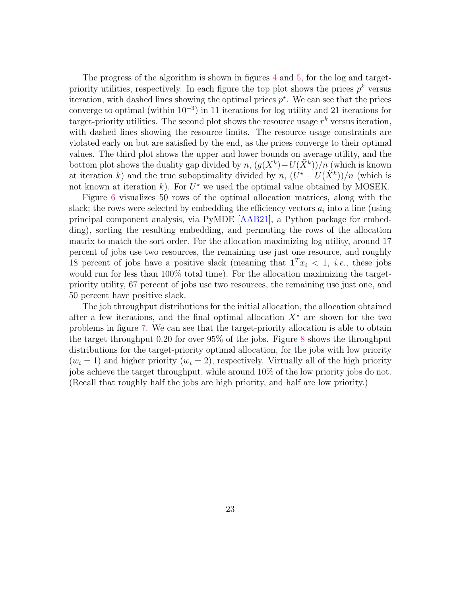The progress of the algorithm is shown in figures [4](#page-23-0) and [5,](#page-24-0) for the log and targetpriority utilities, respectively. In each figure the top plot shows the prices  $p^k$  versus iteration, with dashed lines showing the optimal prices  $p^*$ . We can see that the prices converge to optimal (within  $10^{-3}$ ) in 11 iterations for log utility and 21 iterations for target-priority utilities. The second plot shows the resource usage  $r^k$  versus iteration, with dashed lines showing the resource limits. The resource usage constraints are violated early on but are satisfied by the end, as the prices converge to their optimal values. The third plot shows the upper and lower bounds on average utility, and the bottom plot shows the duality gap divided by  $n$ ,  $(g(X^k) - U(\tilde{X}^k))/n$  (which is known at iteration k) and the true suboptimality divided by  $n$ ,  $(U^* - U(\tilde{X}^k))/n$  (which is not known at iteration  $k$ ). For  $U^*$  we used the optimal value obtained by MOSEK.

Figure [6](#page-25-0) visualizes 50 rows of the optimal allocation matrices, along with the slack; the rows were selected by embedding the efficiency vectors  $a_i$  into a line (using principal component analysis, via PyMDE [\[AAB21\]](#page-36-12), a Python package for embedding), sorting the resulting embedding, and permuting the rows of the allocation matrix to match the sort order. For the allocation maximizing log utility, around 17 percent of jobs use two resources, the remaining use just one resource, and roughly 18 percent of jobs have a positive slack (meaning that  $\mathbf{1}^T x_i < 1$ , *i.e.*, these jobs would run for less than 100% total time). For the allocation maximizing the targetpriority utility, 67 percent of jobs use two resources, the remaining use just one, and 50 percent have positive slack.

The job throughput distributions for the initial allocation, the allocation obtained after a few iterations, and the final optimal allocation  $X^*$  are shown for the two problems in figure [7.](#page-26-0) We can see that the target-priority allocation is able to obtain the target throughput 0.20 for over 95% of the jobs. Figure [8](#page-27-0) shows the throughput distributions for the target-priority optimal allocation, for the jobs with low priority  $(w_i = 1)$  and higher priority  $(w_i = 2)$ , respectively. Virtually all of the high priority jobs achieve the target throughput, while around 10% of the low priority jobs do not. (Recall that roughly half the jobs are high priority, and half are low priority.)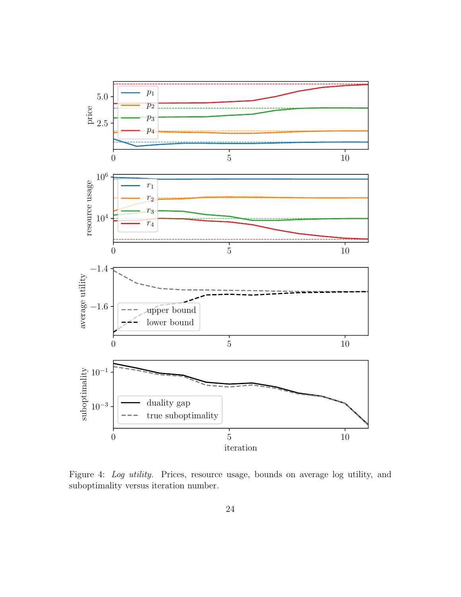<span id="page-23-0"></span>

Figure 4: Log utility. Prices, resource usage, bounds on average log utility, and suboptimality versus iteration number.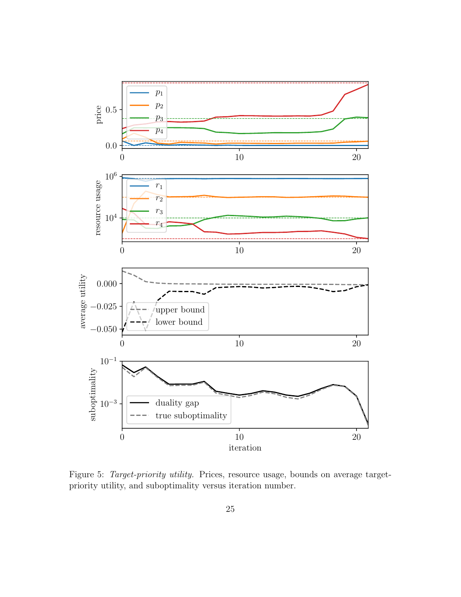<span id="page-24-0"></span>

Figure 5: Target-priority utility. Prices, resource usage, bounds on average targetpriority utility, and suboptimality versus iteration number.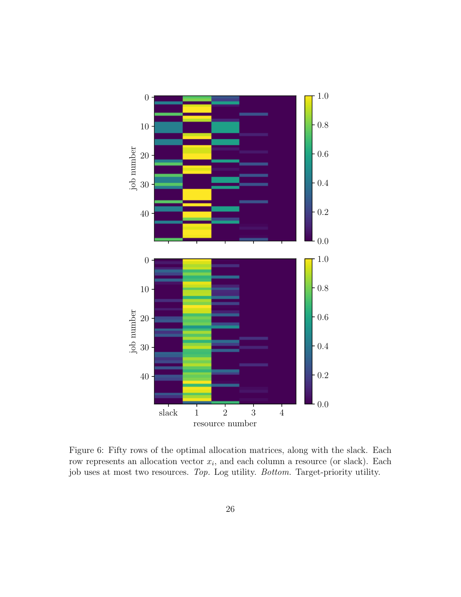<span id="page-25-0"></span>

Figure 6: Fifty rows of the optimal allocation matrices, along with the slack. Each row represents an allocation vector  $x_i$ , and each column a resource (or slack). Each job uses at most two resources. Top. Log utility. Bottom. Target-priority utility.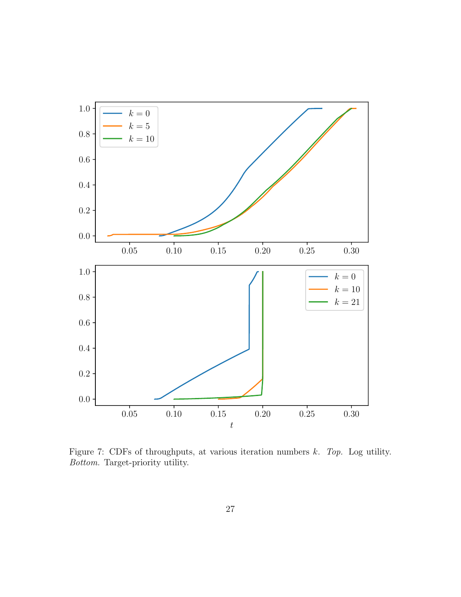<span id="page-26-0"></span>

Figure 7: CDFs of throughputs, at various iteration numbers  $k$ . Top. Log utility. Bottom. Target-priority utility.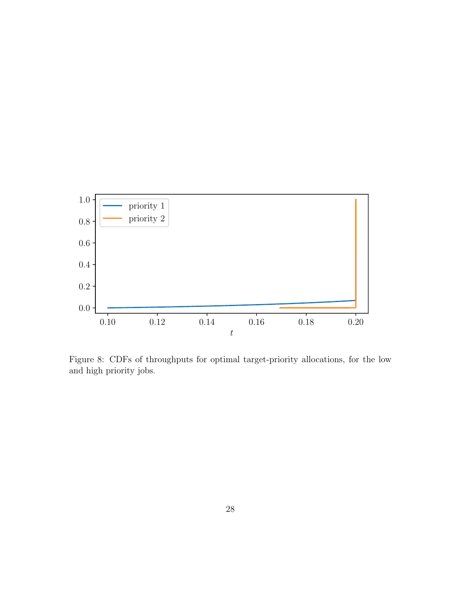<span id="page-27-0"></span>

Figure 8: CDFs of throughputs for optimal target-priority allocations, for the low and high priority jobs.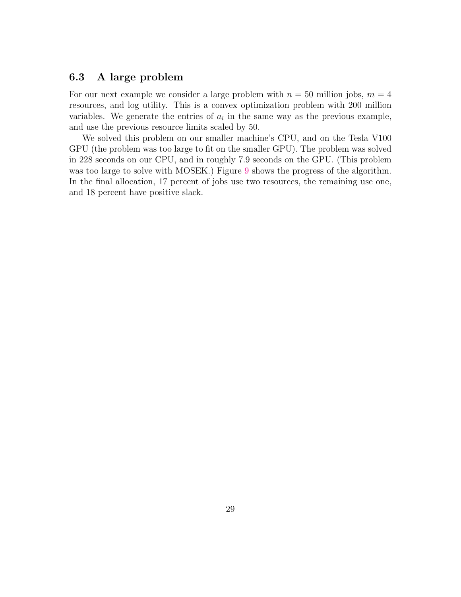## 6.3 A large problem

For our next example we consider a large problem with  $n = 50$  million jobs,  $m = 4$ resources, and log utility. This is a convex optimization problem with 200 million variables. We generate the entries of  $a_i$  in the same way as the previous example, and use the previous resource limits scaled by 50.

We solved this problem on our smaller machine's CPU, and on the Tesla V100 GPU (the problem was too large to fit on the smaller GPU). The problem was solved in 228 seconds on our CPU, and in roughly 7.9 seconds on the GPU. (This problem was too large to solve with MOSEK.) Figure [9](#page-29-0) shows the progress of the algorithm. In the final allocation, 17 percent of jobs use two resources, the remaining use one, and 18 percent have positive slack.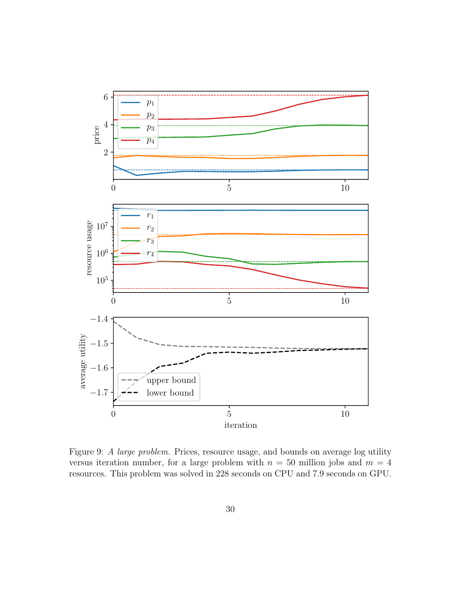<span id="page-29-0"></span>

Figure 9: A large problem. Prices, resource usage, and bounds on average log utility versus iteration number, for a large problem with  $n = 50$  million jobs and  $m = 4$ resources. This problem was solved in 228 seconds on CPU and 7.9 seconds on GPU.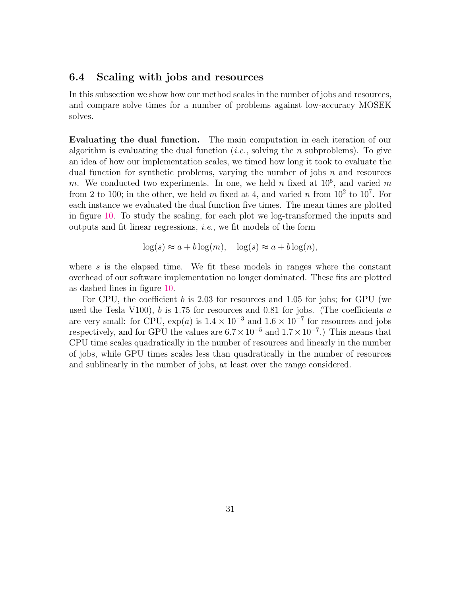### 6.4 Scaling with jobs and resources

In this subsection we show how our method scales in the number of jobs and resources, and compare solve times for a number of problems against low-accuracy MOSEK solves.

Evaluating the dual function. The main computation in each iteration of our algorithm is evaluating the dual function (*i.e.*, solving the *n* subproblems). To give an idea of how our implementation scales, we timed how long it took to evaluate the dual function for synthetic problems, varying the number of jobs  $n$  and resources m. We conducted two experiments. In one, we held n fixed at  $10^5$ , and varied m from 2 to 100; in the other, we held m fixed at 4, and varied n from  $10^2$  to  $10^7$ . For each instance we evaluated the dual function five times. The mean times are plotted in figure [10.](#page-31-0) To study the scaling, for each plot we log-transformed the inputs and outputs and fit linear regressions, i.e., we fit models of the form

$$
\log(s) \approx a + b \log(m), \quad \log(s) \approx a + b \log(n),
$$

where  $s$  is the elapsed time. We fit these models in ranges where the constant overhead of our software implementation no longer dominated. These fits are plotted as dashed lines in figure [10.](#page-31-0)

For CPU, the coefficient b is 2.03 for resources and 1.05 for jobs; for GPU (we used the Tesla V100),  $b$  is 1.75 for resources and 0.81 for jobs. (The coefficients  $a$ are very small: for CPU,  $\exp(a)$  is  $1.4 \times 10^{-3}$  and  $1.6 \times 10^{-7}$  for resources and jobs respectively, and for GPU the values are  $6.7 \times 10^{-5}$  and  $1.7 \times 10^{-7}$ .) This means that CPU time scales quadratically in the number of resources and linearly in the number of jobs, while GPU times scales less than quadratically in the number of resources and sublinearly in the number of jobs, at least over the range considered.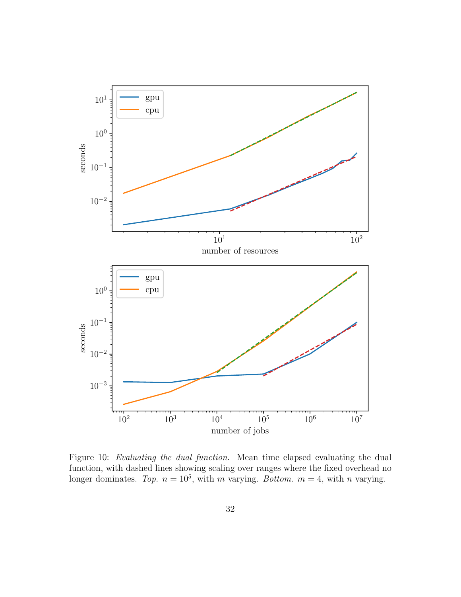<span id="page-31-0"></span>

Figure 10: Evaluating the dual function. Mean time elapsed evaluating the dual function, with dashed lines showing scaling over ranges where the fixed overhead no longer dominates. Top.  $n = 10^5$ , with m varying. Bottom.  $m = 4$ , with n varying.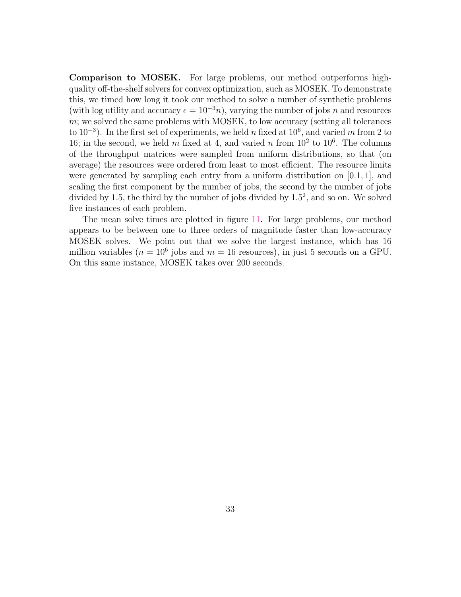Comparison to MOSEK. For large problems, our method outperforms highquality off-the-shelf solvers for convex optimization, such as MOSEK. To demonstrate this, we timed how long it took our method to solve a number of synthetic problems (with log utility and accuracy  $\epsilon = 10^{-3}n$ ), varying the number of jobs n and resources  $m$ ; we solved the same problems with MOSEK, to low accuracy (setting all tolerances to  $10^{-3}$ ). In the first set of experiments, we held n fixed at  $10^6$ , and varied m from 2 to 16; in the second, we held m fixed at 4, and varied n from  $10^2$  to  $10^6$ . The columns of the throughput matrices were sampled from uniform distributions, so that (on average) the resources were ordered from least to most efficient. The resource limits were generated by sampling each entry from a uniform distribution on  $[0.1, 1]$ , and scaling the first component by the number of jobs, the second by the number of jobs divided by 1.5, the third by the number of jobs divided by  $1.5^2$ , and so on. We solved five instances of each problem.

The mean solve times are plotted in figure [11.](#page-33-0) For large problems, our method appears to be between one to three orders of magnitude faster than low-accuracy MOSEK solves. We point out that we solve the largest instance, which has 16 million variables ( $n = 10^6$  jobs and  $m = 16$  resources), in just 5 seconds on a GPU. On this same instance, MOSEK takes over 200 seconds.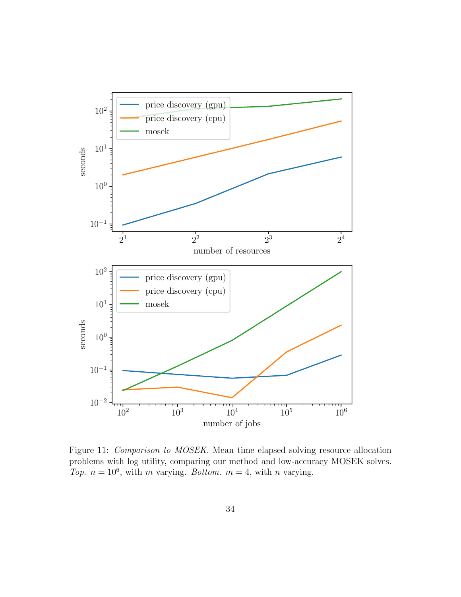<span id="page-33-0"></span>

Figure 11: *Comparison to MOSEK*. Mean time elapsed solving resource allocation problems with log utility, comparing our method and low-accuracy MOSEK solves. Top.  $n = 10^6$ , with m varying. Bottom.  $m = 4$ , with n varying.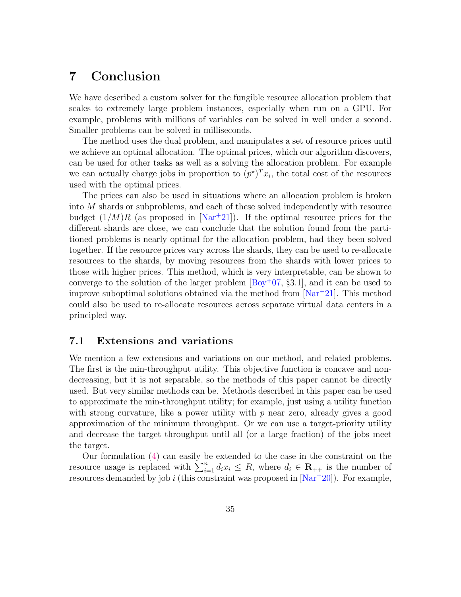## <span id="page-34-0"></span>7 Conclusion

We have described a custom solver for the fungible resource allocation problem that scales to extremely large problem instances, especially when run on a GPU. For example, problems with millions of variables can be solved in well under a second. Smaller problems can be solved in milliseconds.

The method uses the dual problem, and manipulates a set of resource prices until we achieve an optimal allocation. The optimal prices, which our algorithm discovers, can be used for other tasks as well as a solving the allocation problem. For example we can actually charge jobs in proportion to  $(p^*)^T x_i$ , the total cost of the resources used with the optimal prices.

The prices can also be used in situations where an allocation problem is broken into M shards or subproblems, and each of these solved independently with resource budget  $(1/M)R$  (as proposed in [\[Nar](#page-39-12)<sup>+21]</sup>). If the optimal resource prices for the different shards are close, we can conclude that the solution found from the partitioned problems is nearly optimal for the allocation problem, had they been solved together. If the resource prices vary across the shards, they can be used to re-allocate resources to the shards, by moving resources from the shards with lower prices to those with higher prices. This method, which is very interpretable, can be shown to converge to the solution of the larger problem  $[By<sup>+</sup>07, §3.1]$ , and it can be used to improve suboptimal solutions obtained via the method from  $[Nar+21]$  $[Nar+21]$ . This method could also be used to re-allocate resources across separate virtual data centers in a principled way.

## 7.1 Extensions and variations

We mention a few extensions and variations on our method, and related problems. The first is the min-throughput utility. This objective function is concave and nondecreasing, but it is not separable, so the methods of this paper cannot be directly used. But very similar methods can be. Methods described in this paper can be used to approximate the min-throughput utility; for example, just using a utility function with strong curvature, like a power utility with  $p$  near zero, already gives a good approximation of the minimum throughput. Or we can use a target-priority utility and decrease the target throughput until all (or a large fraction) of the jobs meet the target.

Our formulation [\(4\)](#page-7-1) can easily be extended to the case in the constraint on the resource usage is replaced with  $\sum_{i=1}^{n} d_i x_i \leq R$ , where  $d_i \in \mathbb{R}_{++}$  is the number of resources demanded by job i (this constraint was proposed in  $[Nar+20]$  $[Nar+20]$ ). For example,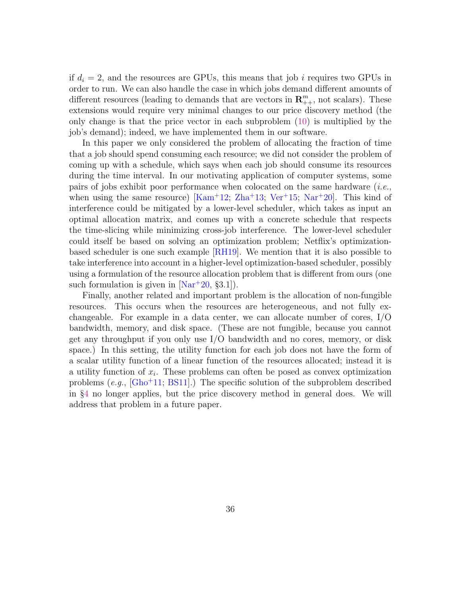if  $d_i = 2$ , and the resources are GPUs, this means that job i requires two GPUs in order to run. We can also handle the case in which jobs demand different amounts of different resources (leading to demands that are vectors in  $\mathbb{R}^m_{++}$ , not scalars). These extensions would require very minimal changes to our price discovery method (the only change is that the price vector in each subproblem [\(10\)](#page-12-3) is multiplied by the job's demand); indeed, we have implemented them in our software.

In this paper we only considered the problem of allocating the fraction of time that a job should spend consuming each resource; we did not consider the problem of coming up with a schedule, which says when each job should consume its resources during the time interval. In our motivating application of computer systems, some pairs of jobs exhibit poor performance when colocated on the same hardware  $(i.e.,$ when using the same resource)  $[Kam^+12; Zha^+13; Ver^+15; Nar^+20]$  $[Kam^+12; Zha^+13; Ver^+15; Nar^+20]$  $[Kam^+12; Zha^+13; Ver^+15; Nar^+20]$  $[Kam^+12; Zha^+13; Ver^+15; Nar^+20]$  $[Kam^+12; Zha^+13; Ver^+15; Nar^+20]$  $[Kam^+12; Zha^+13; Ver^+15; Nar^+20]$  $[Kam^+12; Zha^+13; Ver^+15; Nar^+20]$  $[Kam^+12; Zha^+13; Ver^+15; Nar^+20]$ . This kind of interference could be mitigated by a lower-level scheduler, which takes as input an optimal allocation matrix, and comes up with a concrete schedule that respects the time-slicing while minimizing cross-job interference. The lower-level scheduler could itself be based on solving an optimization problem; Netflix's optimizationbased scheduler is one such example [\[RH19\]](#page-39-5). We mention that it is also possible to take interference into account in a higher-level optimization-based scheduler, possibly using a formulation of the resource allocation problem that is different from ours (one such formulation is given in  $[Nar+20, §3.1]$  $[Nar+20, §3.1]$ .

Finally, another related and important problem is the allocation of non-fungible resources. This occurs when the resources are heterogeneous, and not fully exchangeable. For example in a data center, we can allocate number of cores, I/O bandwidth, memory, and disk space. (These are not fungible, because you cannot get any throughput if you only use I/O bandwidth and no cores, memory, or disk space.) In this setting, the utility function for each job does not have the form of a scalar utility function of a linear function of the resources allocated; instead it is a utility function of  $x_i$ . These problems can often be posed as convex optimization problems  $(e.g., [Gho+11; BS11])$  $(e.g., [Gho+11; BS11])$  $(e.g., [Gho+11; BS11])$  $(e.g., [Gho+11; BS11])$  $(e.g., [Gho+11; BS11])$  The specific solution of the subproblem described in §[4](#page-12-0) no longer applies, but the price discovery method in general does. We will address that problem in a future paper.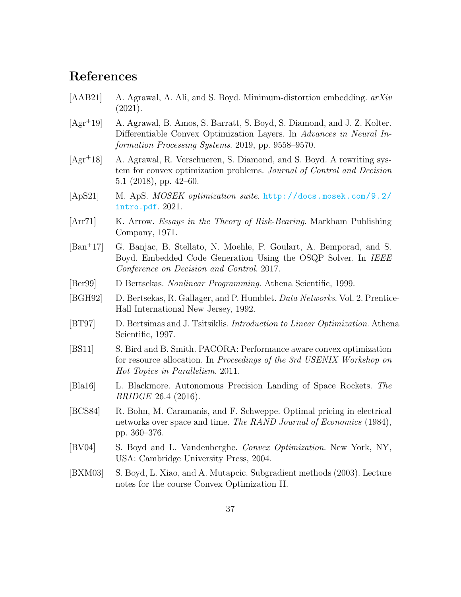## References

- <span id="page-36-12"></span>[AAB21] A. Agrawal, A. Ali, and S. Boyd. Minimum-distortion embedding. arXiv (2021).
- <span id="page-36-6"></span>[Agr<sup>+</sup>19] A. Agrawal, B. Amos, S. Barratt, S. Boyd, S. Diamond, and J. Z. Kolter. Differentiable Convex Optimization Layers. In Advances in Neural Information Processing Systems. 2019, pp. 9558–9570.
- <span id="page-36-5"></span>[Agr<sup>+</sup>18] A. Agrawal, R. Verschueren, S. Diamond, and S. Boyd. A rewriting system for convex optimization problems. Journal of Control and Decision 5.1 (2018), pp. 42–60.
- <span id="page-36-11"></span>[ApS21] M. ApS. MOSEK optimization suite. [http://docs.mosek.com/9.2/](http://docs.mosek.com/9.2/intro.pdf) [intro.pdf](http://docs.mosek.com/9.2/intro.pdf). 2021.
- <span id="page-36-7"></span>[Arr71] K. Arrow. *Essays in the Theory of Risk-Bearing*. Markham Publishing Company, 1971.
- <span id="page-36-3"></span>[Ban<sup>+</sup>17] G. Banjac, B. Stellato, N. Moehle, P. Goulart, A. Bemporad, and S. Boyd. Embedded Code Generation Using the OSQP Solver. In IEEE Conference on Decision and Control. 2017.
- <span id="page-36-0"></span>[Ber99] D Bertsekas. Nonlinear Programming. Athena Scientific, 1999.
- <span id="page-36-2"></span>[BGH92] D. Bertsekas, R. Gallager, and P. Humblet. Data Networks. Vol. 2. Prentice-Hall International New Jersey, 1992.
- <span id="page-36-9"></span>[BT97] D. Bertsimas and J. Tsitsiklis. *Introduction to Linear Optimization*. Athena Scientific, 1997.
- <span id="page-36-13"></span>[BS11] S. Bird and B. Smith. PACORA: Performance aware convex optimization for resource allocation. In Proceedings of the 3rd USENIX Workshop on Hot Topics in Parallelism. 2011.
- <span id="page-36-4"></span>[Bla16] L. Blackmore. Autonomous Precision Landing of Space Rockets. The BRIDGE 26.4 (2016).
- <span id="page-36-8"></span>[BCS84] R. Bohn, M. Caramanis, and F. Schweppe. Optimal pricing in electrical networks over space and time. The RAND Journal of Economics (1984), pp. 360–376.
- <span id="page-36-1"></span>[BV04] S. Boyd and L. Vandenberghe. Convex Optimization. New York, NY, USA: Cambridge University Press, 2004.
- <span id="page-36-10"></span>[BXM03] S. Boyd, L. Xiao, and A. Mutapcic. Subgradient methods (2003). Lecture notes for the course Convex Optimization II.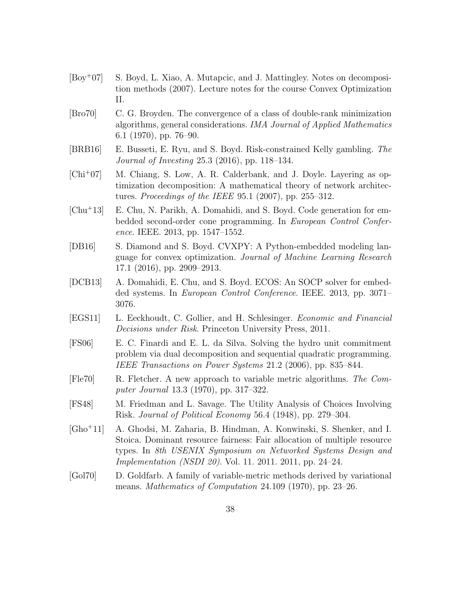- <span id="page-37-0"></span>[Boy<sup>+</sup>07] S. Boyd, L. Xiao, A. Mutapcic, and J. Mattingley. Notes on decomposition methods (2007). Lecture notes for the course Convex Optimization II.
- <span id="page-37-9"></span>[Bro70] C. G. Broyden. The convergence of a class of double-rank minimization algorithms, general considerations. IMA Journal of Applied Mathematics 6.1 (1970), pp. 76–90.
- <span id="page-37-6"></span>[BRB16] E. Busseti, E. Ryu, and S. Boyd. Risk-constrained Kelly gambling. The Journal of Investing 25.3 (2016), pp. 118–134.
- <span id="page-37-2"></span>[Chi<sup>+</sup>07] M. Chiang, S. Low, A. R. Calderbank, and J. Doyle. Layering as optimization decomposition: A mathematical theory of network architectures. Proceedings of the IEEE 95.1 (2007), pp. 255–312.
- <span id="page-37-4"></span>[Chu<sup>+</sup>13] E. Chu, N. Parikh, A. Domahidi, and S. Boyd. Code generation for embedded second-order cone programming. In European Control Conference. IEEE. 2013, pp. 1547–1552.
- <span id="page-37-5"></span>[DB16] S. Diamond and S. Boyd. CVXPY: A Python-embedded modeling language for convex optimization. Journal of Machine Learning Research 17.1 (2016), pp. 2909–2913.
- <span id="page-37-3"></span>[DCB13] A. Domahidi, E. Chu, and S. Boyd. ECOS: An SOCP solver for embedded systems. In European Control Conference. IEEE. 2013, pp. 3071– 3076.
- <span id="page-37-7"></span>[EGS11] L. Eeckhoudt, C. Gollier, and H. Schlesinger. Economic and Financial Decisions under Risk. Princeton University Press, 2011.
- <span id="page-37-1"></span>[FS06] E. C. Finardi and E. L. da Silva. Solving the hydro unit commitment problem via dual decomposition and sequential quadratic programming. IEEE Transactions on Power Systems 21.2 (2006), pp. 835–844.
- <span id="page-37-10"></span>[Fle70] R. Fletcher. A new approach to variable metric algorithms. The Computer Journal 13.3 (1970), pp. 317–322.
- <span id="page-37-8"></span>[FS48] M. Friedman and L. Savage. The Utility Analysis of Choices Involving Risk. Journal of Political Economy 56.4 (1948), pp. 279–304.
- <span id="page-37-12"></span>[Gho<sup>+</sup>11] A. Ghodsi, M. Zaharia, B. Hindman, A. Konwinski, S. Shenker, and I. Stoica. Dominant resource fairness: Fair allocation of multiple resource types. In 8th USENIX Symposium on Networked Systems Design and *Implementation (NSDI 20).* Vol. 11. 2011. 2011, pp. 24–24.
- <span id="page-37-11"></span>[Gol70] D. Goldfarb. A family of variable-metric methods derived by variational means. Mathematics of Computation 24.109 (1970), pp. 23–26.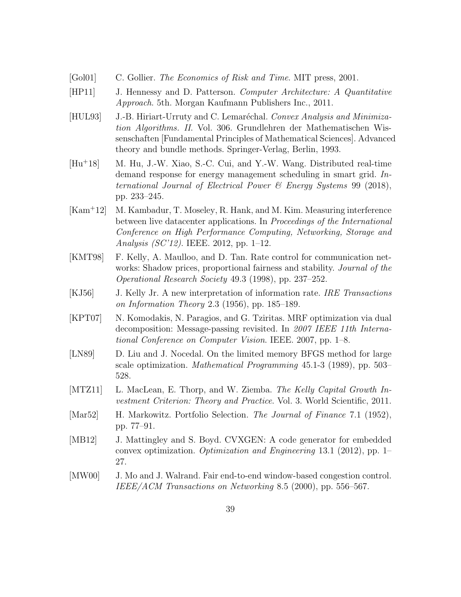- <span id="page-38-9"></span>[Gol01] C. Gollier. The Economics of Risk and Time. MIT press, 2001.
- <span id="page-38-7"></span>[HP11] J. Hennessy and D. Patterson. Computer Architecture: A Quantitative Approach. 5th. Morgan Kaufmann Publishers Inc., 2011.
- <span id="page-38-10"></span>[HUL93] J.-B. Hiriart-Urruty and C. Lemaréchal. Convex Analysis and Minimization Algorithms. II. Vol. 306. Grundlehren der Mathematischen Wissenschaften [Fundamental Principles of Mathematical Sciences]. Advanced theory and bundle methods. Springer-Verlag, Berlin, 1993.
- <span id="page-38-1"></span>[Hu<sup>+</sup>18] M. Hu, J.-W. Xiao, S.-C. Cui, and Y.-W. Wang. Distributed real-time demand response for energy management scheduling in smart grid. International Journal of Electrical Power & Energy Systems 99 (2018), pp. 233–245.
- <span id="page-38-12"></span>[Kam<sup>+</sup>12] M. Kambadur, T. Moseley, R. Hank, and M. Kim. Measuring interference between live datacenter applications. In Proceedings of the International Conference on High Performance Computing, Networking, Storage and Analysis (SC'12). IEEE. 2012, pp. 1–12.
- <span id="page-38-0"></span>[KMT98] F. Kelly, A. Maulloo, and D. Tan. Rate control for communication networks: Shadow prices, proportional fairness and stability. Journal of the Operational Research Society 49.3 (1998), pp. 237–252.
- <span id="page-38-4"></span>[KJ56] J. Kelly Jr. A new interpretation of information rate. IRE Transactions on Information Theory 2.3 (1956), pp. 185–189.
- <span id="page-38-2"></span>[KPT07] N. Komodakis, N. Paragios, and G. Tziritas. MRF optimization via dual decomposition: Message-passing revisited. In 2007 IEEE 11th International Conference on Computer Vision. IEEE. 2007, pp. 1–8.
- <span id="page-38-11"></span>[LN89] D. Liu and J. Nocedal. On the limited memory BFGS method for large scale optimization. Mathematical Programming 45.1-3 (1989), pp. 503– 528.
- <span id="page-38-5"></span>[MTZ11] L. MacLean, E. Thorp, and W. Ziemba. The Kelly Capital Growth Investment Criterion: Theory and Practice. Vol. 3. World Scientific, 2011.
- <span id="page-38-8"></span>[Mar52] H. Markowitz. Portfolio Selection. The Journal of Finance 7.1 (1952), pp. 77–91.
- <span id="page-38-3"></span>[MB12] J. Mattingley and S. Boyd. CVXGEN: A code generator for embedded convex optimization. Optimization and Engineering 13.1 (2012), pp. 1– 27.
- <span id="page-38-6"></span>[MW00] J. Mo and J. Walrand. Fair end-to-end window-based congestion control. IEEE/ACM Transactions on Networking 8.5 (2000), pp. 556–567.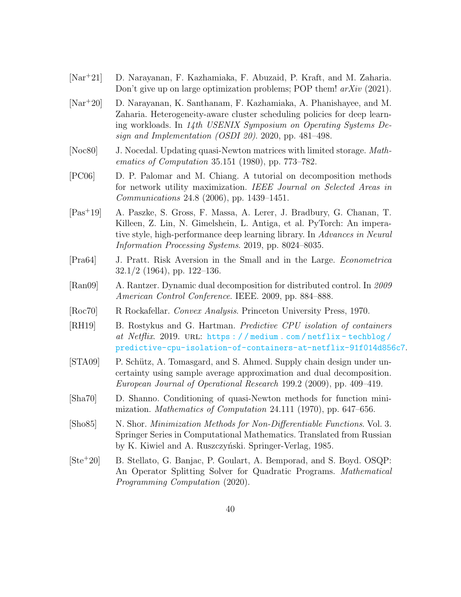- <span id="page-39-12"></span>[Nar<sup>+</sup>21] D. Narayanan, F. Kazhamiaka, F. Abuzaid, P. Kraft, and M. Zaharia. Don't give up on large optimization problems; POP them!  $arXiv$  (2021).
- <span id="page-39-0"></span>[Nar<sup>+</sup>20] D. Narayanan, K. Santhanam, F. Kazhamiaka, A. Phanishayee, and M. Zaharia. Heterogeneity-aware cluster scheduling policies for deep learning workloads. In 14th USENIX Symposium on Operating Systems Design and Implementation (OSDI 20). 2020, pp. 481–498.
- <span id="page-39-10"></span>[Noc80] J. Nocedal. Updating quasi-Newton matrices with limited storage. Mathematics of Computation 35.151 (1980), pp. 773–782.
- <span id="page-39-1"></span>[PC06] D. P. Palomar and M. Chiang. A tutorial on decomposition methods for network utility maximization. IEEE Journal on Selected Areas in Communications 24.8 (2006), pp. 1439–1451.
- <span id="page-39-11"></span>[Pas<sup>+</sup>19] A. Paszke, S. Gross, F. Massa, A. Lerer, J. Bradbury, G. Chanan, T. Killeen, Z. Lin, N. Gimelshein, L. Antiga, et al. PyTorch: An imperative style, high-performance deep learning library. In Advances in Neural Information Processing Systems. 2019, pp. 8024–8035.
- <span id="page-39-6"></span>[Pra64] J. Pratt. Risk Aversion in the Small and in the Large. Econometrica  $32.1/2$  (1964), pp. 122–136.
- <span id="page-39-2"></span>[Ran09] A. Rantzer. Dynamic dual decomposition for distributed control. In 2009 American Control Conference. IEEE. 2009, pp. 884–888.
- <span id="page-39-7"></span>[Roc70] R Rockafellar. Convex Analysis. Princeton University Press, 1970.
- <span id="page-39-5"></span>[RH19] B. Rostykus and G. Hartman. Predictive CPU isolation of containers at Netflix. 2019. URL: https://medium.com/netflix-techblog/ [predictive-cpu-isolation-of-containers-at-netflix-91f014d856c7](https://medium.com/netflix-techblog/predictive-cpu-isolation-of-containers-at-netflix-91f014d856c7).
- <span id="page-39-3"></span>[STA09] P. Schütz, A. Tomasgard, and S. Ahmed. Supply chain design under uncertainty using sample average approximation and dual decomposition. European Journal of Operational Research 199.2 (2009), pp. 409–419.
- <span id="page-39-9"></span>[Sha70] D. Shanno. Conditioning of quasi-Newton methods for function minimization. Mathematics of Computation 24.111 (1970), pp. 647–656.
- <span id="page-39-8"></span>[Sho85] N. Shor. *Minimization Methods for Non-Differentiable Functions.* Vol. 3. Springer Series in Computational Mathematics. Translated from Russian by K. Kiwiel and A. Ruszczyński. Springer-Verlag, 1985.
- <span id="page-39-4"></span>[Ste<sup>+</sup>20] B. Stellato, G. Banjac, P. Goulart, A. Bemporad, and S. Boyd. OSQP: An Operator Splitting Solver for Quadratic Programs. Mathematical Programming Computation (2020).